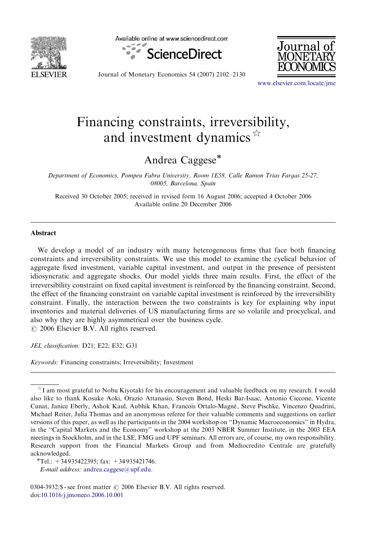

Available online at www.sciencedirect.com





Journal of Monetary Economics 54 (2007) 2102–2130

<www.elsevier.com/locate/jme>

# Financing constraints, irreversibility, and investment dynamics  $\overrightarrow{x}$

Andrea Caggese<sup>\*</sup>

Department of Economics, Pompeu Fabra University, Room 1E58, Calle Ramon Trias Fargas 25-27, 08005, Barcelona, Spain

Received 30 October 2005; received in revised form 16 August 2006; accepted 4 October 2006 Available online 20 December 2006

## Abstract

We develop a model of an industry with many heterogeneous firms that face both financing constraints and irreversibility constraints. We use this model to examine the cyclical behavior of aggregate fixed investment, variable capital investment, and output in the presence of persistent idiosyncratic and aggregate shocks. Our model yields three main results. First, the effect of the irreversibility constraint on fixed capital investment is reinforced by the financing constraint. Second, the effect of the financing constraint on variable capital investment is reinforced by the irreversibility constraint. Finally, the interaction between the two constraints is key for explaining why input inventories and material deliveries of US manufacturing firms are so volatile and procyclical, and also why they are highly asymmetrical over the business cycle.  $\odot$  2006 Elsevier B.V. All rights reserved.

JEL classification: D21; E22; E32; G31

Keywords: Financing constraints; Irreversibility; Investment

 $*$ I am most grateful to Nobu Kiyotaki for his encouragement and valuable feedback on my research. I would also like to thank Kosuke Aoki, Orazio Attanasio, Steven Bond, Heski Bar-Isaac, Antonio Ciccone, Vicente Cunat, Janice Eberly, Ashok Kaul, Aubhik Khan, Francois Ortalo-Magne', Steve Pischke, Vincenzo Quadrini, Michael Reiter, Julia Thomas and an anonymous referee for their valuable comments and suggestions on earlier versions of this paper, as well as the participants in the 2004 workshop on ''Dynamic Macroeconomics'' in Hydra, in the ''Capital Markets and the Economy'' workshop at the 2003 NBER Summer Institute, in the 2003 EEA meetings in Stockholm, and in the LSE, FMG and UPF seminars. All errors are, of course, my own responsibility. Research support from the Financial Markets Group and from Mediocredito Centrale are gratefully acknowledged.

 $*$ Tel.: +34 935422395; fax: +34 935421746.

E-mail address: [andrea.caggese@upf.edu.](mailto:andrea.caggese@upf.edu)

<sup>0304-3932/\$ -</sup> see front matter  $\odot$  2006 Elsevier B.V. All rights reserved. doi[:10.1016/j.jmoneco.2006.10.001](dx.doi.org/10.1016/j.jmoneco.2006.10.001)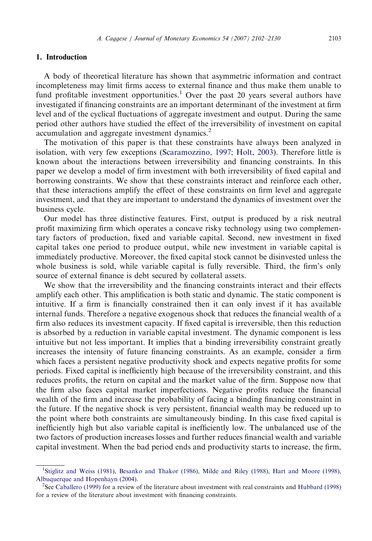# 1. Introduction

A body of theoretical literature has shown that asymmetric information and contract incompleteness may limit firms access to external finance and thus make them unable to fund profitable investment opportunities.<sup>1</sup> Over the past 20 years several authors have investigated if financing constraints are an important determinant of the investment at firm level and of the cyclical fluctuations of aggregate investment and output. During the same period other authors have studied the effect of the irreversibility of investment on capital accumulation and aggregate investment dynamics.<sup>2</sup>

The motivation of this paper is that these constraints have always been analyzed in isolation, with very few exceptions [\(Scaramozzino, 1997;](#page-28-0) [Holt, 2003\)](#page-28-0). Therefore little is known about the interactions between irreversibility and financing constraints. In this paper we develop a model of firm investment with both irreversibility of fixed capital and borrowing constraints. We show that these constraints interact and reinforce each other, that these interactions amplify the effect of these constraints on firm level and aggregate investment, and that they are important to understand the dynamics of investment over the business cycle.

Our model has three distinctive features. First, output is produced by a risk neutral profit maximizing firm which operates a concave risky technology using two complementary factors of production, fixed and variable capital. Second, new investment in fixed capital takes one period to produce output, while new investment in variable capital is immediately productive. Moreover, the fixed capital stock cannot be disinvested unless the whole business is sold, while variable capital is fully reversible. Third, the firm's only source of external finance is debt secured by collateral assets.

We show that the irreversibility and the financing constraints interact and their effects amplify each other. This amplification is both static and dynamic. The static component is intuitive. If a firm is financially constrained then it can only invest if it has available internal funds. Therefore a negative exogenous shock that reduces the financial wealth of a firm also reduces its investment capacity. If fixed capital is irreversible, then this reduction is absorbed by a reduction in variable capital investment. The dynamic component is less intuitive but not less important. It implies that a binding irreversibility constraint greatly increases the intensity of future financing constraints. As an example, consider a firm which faces a persistent negative productivity shock and expects negative profits for some periods. Fixed capital is inefficiently high because of the irreversibility constraint, and this reduces profits, the return on capital and the market value of the firm. Suppose now that the firm also faces capital market imperfections. Negative profits reduce the financial wealth of the firm and increase the probability of facing a binding financing constraint in the future. If the negative shock is very persistent, financial wealth may be reduced up to the point where both constraints are simultaneously binding. In this case fixed capital is inefficiently high but also variable capital is inefficiently low. The unbalanced use of the two factors of production increases losses and further reduces financial wealth and variable capital investment. When the bad period ends and productivity starts to increase, the firm,

<sup>&</sup>lt;sup>1</sup>[Stiglitz and Weiss \(1981\)](#page-28-0), [Besanko and Thakor \(1986\)](#page-27-0), [Milde and Riley \(1988\)](#page-28-0), [Hart and Moore \(1998\)](#page-28-0), [Albuquerque and Hopenhayn \(2004\).](#page-27-0)

<sup>&</sup>lt;sup>2</sup>See [Caballero \(1999\)](#page-28-0) for a review of the literature about investment with real constraints and [Hubbard \(1998\)](#page-28-0) for a review of the literature about investment with financing constraints.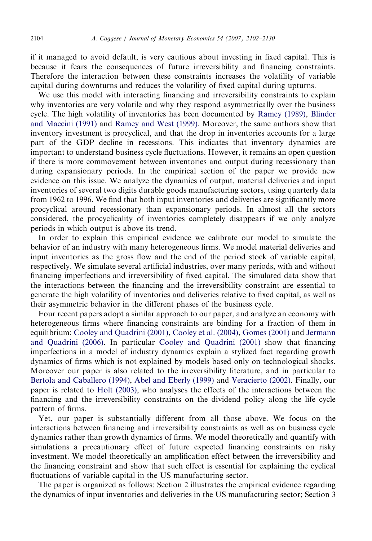if it managed to avoid default, is very cautious about investing in fixed capital. This is because it fears the consequences of future irreversibility and financing constraints. Therefore the interaction between these constraints increases the volatility of variable capital during downturns and reduces the volatility of fixed capital during upturns.

We use this model with interacting financing and irreversibility constraints to explain why inventories are very volatile and why they respond asymmetrically over the business cycle. The high volatility of inventories has been documented by [Ramey \(1989\),](#page-28-0) [Blinder](#page-27-0) [and Maccini \(1991\)](#page-27-0) and [Ramey and West \(1999\).](#page-28-0) Moreover, the same authors show that inventory investment is procyclical, and that the drop in inventories accounts for a large part of the GDP decline in recessions. This indicates that inventory dynamics are important to understand business cycle fluctuations. However, it remains an open question if there is more commovement between inventories and output during recessionary than during expansionary periods. In the empirical section of the paper we provide new evidence on this issue. We analyze the dynamics of output, material deliveries and input inventories of several two digits durable goods manufacturing sectors, using quarterly data from 1962 to 1996. We find that both input inventories and deliveries are significantly more procyclical around recessionary than expansionary periods. In almost all the sectors considered, the procyclicality of inventories completely disappears if we only analyze periods in which output is above its trend.

In order to explain this empirical evidence we calibrate our model to simulate the behavior of an industry with many heterogeneous firms. We model material deliveries and input inventories as the gross flow and the end of the period stock of variable capital, respectively. We simulate several artificial industries, over many periods, with and without financing imperfections and irreversibility of fixed capital. The simulated data show that the interactions between the financing and the irreversibility constraint are essential to generate the high volatility of inventories and deliveries relative to fixed capital, as well as their asymmetric behavior in the different phases of the business cycle.

Four recent papers adopt a similar approach to our paper, and analyze an economy with heterogeneous firms where financing constraints are binding for a fraction of them in equilibrium: [Cooley and Quadrini \(2001\),](#page-28-0) [Cooley et al. \(2004\),](#page-28-0) [Gomes \(2001\)](#page-28-0) and [Jermann](#page-28-0) [and Quadrini \(2006\)](#page-28-0). In particular [Cooley and Quadrini \(2001\)](#page-28-0) show that financing imperfections in a model of industry dynamics explain a stylized fact regarding growth dynamics of firms which is not explained by models based only on technological shocks. Moreover our paper is also related to the irreversibility literature, and in particular to [Bertola and Caballero \(1994\)](#page-27-0), [Abel and Eberly \(1999\)](#page-27-0) and [Veracierto \(2002\).](#page-28-0) Finally, our paper is related to [Holt \(2003\)](#page-28-0), who analyses the effects of the interactions between the financing and the irreversibility constraints on the dividend policy along the life cycle pattern of firms.

Yet, our paper is substantially different from all those above. We focus on the interactions between financing and irreversibility constraints as well as on business cycle dynamics rather than growth dynamics of firms. We model theoretically and quantify with simulations a precautionary effect of future expected financing constraints on risky investment. We model theoretically an amplification effect between the irreversibility and the financing constraint and show that such effect is essential for explaining the cyclical fluctuations of variable capital in the US manufacturing sector.

The paper is organized as follows: Section 2 illustrates the empirical evidence regarding the dynamics of input inventories and deliveries in the US manufacturing sector; Section 3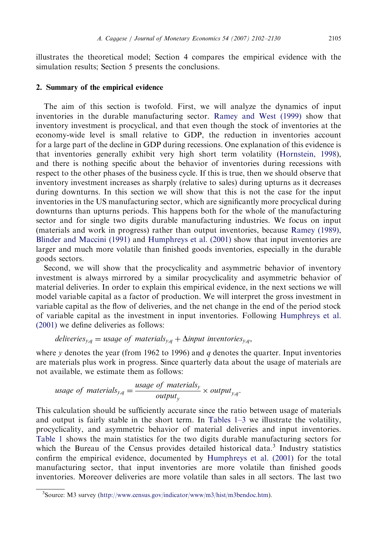illustrates the theoretical model; Section 4 compares the empirical evidence with the simulation results; Section 5 presents the conclusions.

# 2. Summary of the empirical evidence

The aim of this section is twofold. First, we will analyze the dynamics of input inventories in the durable manufacturing sector. [Ramey and West \(1999\)](#page-28-0) show that inventory investment is procyclical, and that even though the stock of inventories at the economy-wide level is small relative to GDP, the reduction in inventories account for a large part of the decline in GDP during recessions. One explanation of this evidence is that inventories generally exhibit very high short term volatility ([Hornstein, 1998](#page-28-0)), and there is nothing specific about the behavior of inventories during recessions with respect to the other phases of the business cycle. If this is true, then we should observe that inventory investment increases as sharply (relative to sales) during upturns as it decreases during downturns. In this section we will show that this is not the case for the input inventories in the US manufacturing sector, which are significantly more procyclical during downturns than upturns periods. This happens both for the whole of the manufacturing sector and for single two digits durable manufacturing industries. We focus on input (materials and work in progress) rather than output inventories, because [Ramey \(1989\),](#page-28-0) [Blinder and Maccini \(1991\)](#page-27-0) and [Humphreys et al. \(2001\)](#page-28-0) show that input inventories are larger and much more volatile than finished goods inventories, especially in the durable goods sectors.

Second, we will show that the procyclicality and asymmetric behavior of inventory investment is always mirrored by a similar procyclicality and asymmetric behavior of material deliveries. In order to explain this empirical evidence, in the next sections we will model variable capital as a factor of production. We will interpret the gross investment in variable capital as the flow of deliveries, and the net change in the end of the period stock of variable capital as the investment in input inventories. Following [Humphreys et al.](#page-28-0) [\(2001\)](#page-28-0) we define deliveries as follows:

deliveries<sub>y,q</sub> = usage of materials<sub>y,q</sub> +  $\Delta$ input inventories<sub>y,q</sub>,

where y denotes the year (from 1962 to 1996) and q denotes the quarter. Input inventories are materials plus work in progress. Since quarterly data about the usage of materials are not available, we estimate them as follows:

usage of materials<sub>y,q</sub> = 
$$
\frac{usage \ of \ materials_y}{output_y} \times output_{y,q}
$$
.

This calculation should be sufficiently accurate since the ratio between usage of materials and output is fairly stable in the short term. In Tables  $1-3$  we illustrate the volatility, procyclicality, and asymmetric behavior of material deliveries and input inventories. [Table 1](#page-4-0) shows the main statistics for the two digits durable manufacturing sectors for which the Bureau of the Census provides detailed historical data.<sup>3</sup> Industry statistics confirm the empirical evidence, documented by [Humphreys et al. \(2001\)](#page-28-0) for the total manufacturing sector, that input inventories are more volatile than finished goods inventories. Moreover deliveries are more volatile than sales in all sectors. The last two

<sup>3</sup> Source: M3 survey [\(http://www.census.gov/indicator/www/m3/hist/m3bendoc.htm\)](http://www.census.gov/indicator/www/m3/hist/m3bendoc.htm).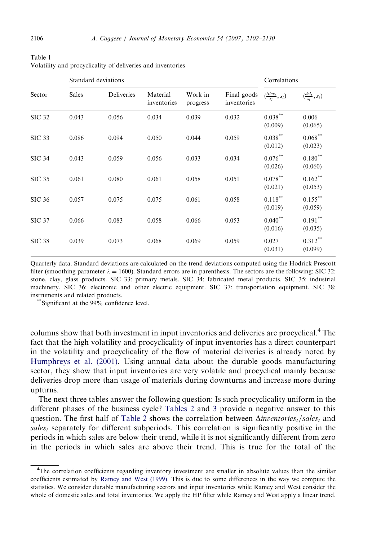|               |              | Standard deviations | Correlations            |                     |                            |                                              |                                       |
|---------------|--------------|---------------------|-------------------------|---------------------|----------------------------|----------------------------------------------|---------------------------------------|
| Sector        | <b>Sales</b> | Deliveries          | Material<br>inventories | Work in<br>progress | Final goods<br>inventories | $\left(\frac{\Delta inv_t}{s_t}, s_t\right)$ | $\left(\frac{del_t}{s_t}, s_t\right)$ |
| <b>SIC 32</b> | 0.043        | 0.056               | 0.034                   | 0.039               | 0.032                      | $0.038***$<br>(0.009)                        | 0.006<br>(0.065)                      |
| <b>SIC 33</b> | 0.086        | 0.094               | 0.050                   | 0.044               | 0.059                      | $0.038***$<br>(0.012)                        | $0.068***$<br>(0.023)                 |
| <b>SIC 34</b> | 0.043        | 0.059               | 0.056                   | 0.033               | 0.034                      | $0.076***$<br>(0.026)                        | $0.180^{**}$<br>(0.060)               |
| <b>SIC 35</b> | 0.061        | 0.080               | 0.061                   | 0.058               | 0.051                      | $0.078***$<br>(0.021)                        | $0.162***$<br>(0.053)                 |
| <b>SIC 36</b> | 0.057        | 0.075               | 0.075                   | 0.061               | 0.058                      | $0.118***$<br>(0.019)                        | $0.155***$<br>(0.059)                 |
| <b>SIC 37</b> | 0.066        | 0.083               | 0.058                   | 0.066               | 0.053                      | $0.040^{**}$<br>(0.016)                      | $0.191***$<br>(0.035)                 |
| <b>SIC 38</b> | 0.039        | 0.073               | 0.068                   | 0.069               | 0.059                      | 0.027<br>(0.031)                             | $0.312***$<br>(0.099)                 |

<span id="page-4-0"></span>Table 1 Volatility and procyclicality of deliveries and inventories

Quarterly data. Standard deviations are calculated on the trend deviations computed using the Hodrick Prescott filter (smoothing parameter  $\lambda = 1600$ ). Standard errors are in parenthesis. The sectors are the following: SIC 32: stone, clay, glass products. SIC 33: primary metals. SIC 34: fabricated metal products. SIC 35: industrial machinery. SIC 36: electronic and other electric equipment. SIC 37: transportation equipment. SIC 38: instruments and related products. \*\*Significant at the 99% confidence level.

columns show that both investment in input inventories and deliveries are procyclical.<sup>4</sup> The fact that the high volatility and procyclicality of input inventories has a direct counterpart in the volatility and procyclicality of the flow of material deliveries is already noted by [Humphreys et al. \(2001\).](#page-28-0) Using annual data about the durable goods manufacturing sector, they show that input inventories are very volatile and procyclical mainly because deliveries drop more than usage of materials during downturns and increase more during upturns.

The next three tables answer the following question: Is such procyclicality uniform in the different phases of the business cycle? [Tables 2](#page-5-0) and [3](#page-6-0) provide a negative answer to this question. The first half of [Table 2](#page-5-0) shows the correlation between  $\Delta$ *inventories<sub>t</sub>*/sales<sub>t</sub> and sales<sub>t</sub> separately for different subperiods. This correlation is significantly positive in the periods in which sales are below their trend, while it is not significantly different from zero in the periods in which sales are above their trend. This is true for the total of the

<sup>4</sup> The correlation coefficients regarding inventory investment are smaller in absolute values than the similar coefficients estimated by [Ramey and West \(1999\)](#page-28-0). This is due to some differences in the way we compute the statistics. We consider durable manufacturing sectors and input inventories while Ramey and West consider the whole of domestic sales and total inventories. We apply the HP filter while Ramey and West apply a linear trend.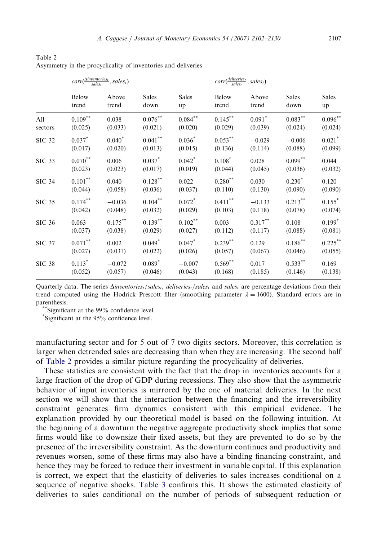|               |                    | $corr(\frac{\Delta inventories_t}{sales_t}, sales_t)$ |              |                      | $corr(\frac{deliveries_t}{sales_t}, sales_t)$ |                      |              |                      |
|---------------|--------------------|-------------------------------------------------------|--------------|----------------------|-----------------------------------------------|----------------------|--------------|----------------------|
|               | Below              | Above                                                 | <b>Sales</b> | <b>Sales</b>         | Below                                         | Above                | <b>Sales</b> | <b>Sales</b>         |
|               | trend              | trend                                                 | down         | up                   | trend                                         | trend                | down         | up                   |
| All           | $0.109***$         | 0.038                                                 | $0.076^{**}$ | $0.084***$           | $0.145***$                                    | $0.091$ <sup>*</sup> | $0.083***$   | $0.096***$           |
| sectors       | (0.025)            | (0.033)                                               | (0.021)      | (0.020)              | (0.029)                                       | (0.039)              | (0.024)      | (0.024)              |
| <b>SIC 32</b> | $0.037*$           | $0.040*$                                              | $0.041***$   | $0.036*$             | $0.053***$                                    | $-0.029$             | $-0.006$     | $0.021$ <sup>*</sup> |
|               | (0.017)            | (0.020)                                               | (0.013)      | (0.015)              | (0.136)                                       | (0.114)              | (0.088)      | (0.099)              |
| <b>SIC 33</b> | $0.070^{\ast\ast}$ | 0.006                                                 | $0.037*$     | $0.042$ <sup>*</sup> | $0.108*$                                      | 0.028                | $0.099***$   | 0.044                |
|               | (0.023)            | (0.023)                                               | (0.017)      | (0.019)              | (0.044)                                       | (0.045)              | (0.036)      | (0.032)              |
| <b>SIC 34</b> | $0.101\sp{**}$     | 0.040                                                 | $0.128***$   | 0.022                | $0.280**$                                     | 0.030                | $0.230*$     | 0.120                |
|               | (0.044)            | (0.058)                                               | (0.036)      | (0.037)              | (0.110)                                       | (0.130)              | (0.090)      | (0.090)              |
| <b>SIC 35</b> | $0.174***$         | $-0.036$                                              | $0.104***$   | $0.072$ <sup>*</sup> | $0.411***$                                    | $-0.133$             | $0.213***$   | $0.155$ <sup>*</sup> |
|               | (0.042)            | (0.048)                                               | (0.032)      | (0.029)              | (0.103)                                       | (0.118)              | (0.078)      | (0.074)              |
| <b>SIC 36</b> | 0.063              | $0.175***$                                            | $0.139***$   | $0.102***$           | 0.003                                         | $0.317***$           | 0.108        | $0.199*$             |
|               | (0.037)            | (0.038)                                               | (0.029)      | (0.027)              | (0.112)                                       | (0.117)              | (0.088)      | (0.081)              |
| <b>SIC 37</b> | $0.071***$         | 0.002                                                 | $0.049*$     | $0.047$ *            | $0.239***$                                    | 0.129                | $0.186***$   | $0.225***$           |
|               | (0.027)            | (0.031)                                               | (0.022)      | (0.026)              | (0.057)                                       | (0.067)              | (0.046)      | (0.055)              |
| <b>SIC 38</b> | $0.113*$           | $-0.072$                                              | $0.089*$     | $-0.007$             | $0.569***$                                    | 0.017                | $0.533***$   | 0.169                |
|               | (0.052)            | (0.057)                                               | (0.046)      | (0.043)              | (0.168)                                       | (0.185)              | (0.146)      | (0.138)              |

<span id="page-5-0"></span>Table 2 Asymmetry in the procyclicality of inventories and deliveries

Quarterly data. The series  $\Delta$ *inventories<sub>t</sub>*/sales<sub>t</sub>, deliveries<sub>t</sub>/sales<sub>t</sub> and sales<sub>t</sub> are percentage deviations from their trend computed using the Hodrick–Prescott filter (smoothing parameter  $\lambda = 1600$ ). Standard errors are in parenthesis.<br>\*\*Significant at the 99% confidence level.

\* Significant at the 95% confidence level.

manufacturing sector and for 5 out of 7 two digits sectors. Moreover, this correlation is larger when detrended sales are decreasing than when they are increasing. The second half of Table 2 provides a similar picture regarding the procyclicality of deliveries.

These statistics are consistent with the fact that the drop in inventories accounts for a large fraction of the drop of GDP during recessions. They also show that the asymmetric behavior of input inventories is mirrored by the one of material deliveries. In the next section we will show that the interaction between the financing and the irreversibility constraint generates firm dynamics consistent with this empirical evidence. The explanation provided by our theoretical model is based on the following intuition. At the beginning of a downturn the negative aggregate productivity shock implies that some firms would like to downsize their fixed assets, but they are prevented to do so by the presence of the irreversibility constraint. As the downturn continues and productivity and revenues worsen, some of these firms may also have a binding financing constraint, and hence they may be forced to reduce their investment in variable capital. If this explanation is correct, we expect that the elasticity of deliveries to sales increases conditional on a sequence of negative shocks. [Table 3](#page-6-0) confirms this. It shows the estimated elasticity of deliveries to sales conditional on the number of periods of subsequent reduction or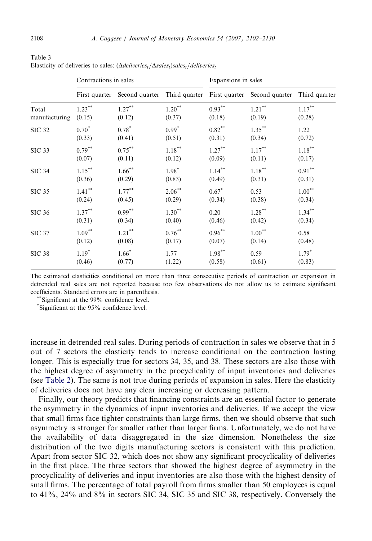|               | Contractions in sales |                                            |           | Expansions in sales |                |               |  |
|---------------|-----------------------|--------------------------------------------|-----------|---------------------|----------------|---------------|--|
|               |                       | First quarter Second quarter Third quarter |           | First quarter       | Second quarter | Third quarter |  |
| Total         | $1.23***$             | $1.27***$                                  | $1.20***$ | $0.93***$           | $1.21***$      | $1.17***$     |  |
| manufacturing | (0.15)                | (0.12)                                     | (0.37)    | (0.18)              | (0.19)         | (0.28)        |  |
| <b>SIC 32</b> | $0.70*$               | $0.78*$                                    | $0.99*$   | $0.82***$           | $1.35***$      | 1.22          |  |
|               | (0.33)                | (0.41)                                     | (0.51)    | (0.31)              | (0.34)         | (0.72)        |  |
| <b>SIC 33</b> | $0.79***$             | $0.75***$                                  | $1.18***$ | $1.27***$           | $1.17***$      | $1.18***$     |  |
|               | (0.07)                | (0.11)                                     | (0.12)    | (0.09)              | (0.11)         | (0.17)        |  |
| <b>SIC 34</b> | $1.15***$             | $1.66***$                                  | 1.98*     | $1.14***$           | $1.18***$      | $0.91***$     |  |
|               | (0.36)                | (0.29)                                     | (0.83)    | (0.49)              | (0.31)         | (0.31)        |  |
| <b>SIC 35</b> | $1.41***$             | $1.77***$                                  | $2.06***$ | $0.67*$             | 0.53           | $1.00***$     |  |
|               | (0.24)                | (0.45)                                     | (0.29)    | (0.34)              | (0.38)         | (0.34)        |  |
| <b>SIC 36</b> | $1.37***$             | $0.99***$                                  | $1.30***$ | 0.20                | $1.28***$      | $1.34***$     |  |
|               | (0.31)                | (0.34)                                     | (0.40)    | (0.46)              | (0.42)         | (0.34)        |  |
| <b>SIC 37</b> | $1.09***$             | $1.21***$                                  | $0.76***$ | $0.96***$           | $1.00***$      | 0.58          |  |
|               | (0.12)                | (0.08)                                     | (0.17)    | (0.07)              | (0.14)         | (0.48)        |  |
| <b>SIC 38</b> | $1.19*$               | $1.66*$                                    | 1.77      | $1.98***$           | 0.59           | $1.79*$       |  |
|               | (0.46)                | (0.77)                                     | (1.22)    | (0.58)              | (0.61)         | (0.83)        |  |

<span id="page-6-0"></span>Table 3 Elasticity of deliveries to sales:  $(\Delta$ deliveries<sub>t</sub>/ $\Delta$ sales<sub>t</sub>/sales<sub>t</sub>/deliveries<sub>t</sub>

The estimated elasticities conditional on more than three consecutive periods of contraction or expansion in detrended real sales are not reported because too few observations do not allow us to estimate significant coefficients. Standard errors are in parenthesis.

Significant at the 99% confidence level.

\* Significant at the 95% confidence level.

increase in detrended real sales. During periods of contraction in sales we observe that in 5 out of 7 sectors the elasticity tends to increase conditional on the contraction lasting longer. This is especially true for sectors 34, 35, and 38. These sectors are also those with the highest degree of asymmetry in the procyclicality of input inventories and deliveries (see [Table 2\)](#page-5-0). The same is not true during periods of expansion in sales. Here the elasticity of deliveries does not have any clear increasing or decreasing pattern.

Finally, our theory predicts that financing constraints are an essential factor to generate the asymmetry in the dynamics of input inventories and deliveries. If we accept the view that small firms face tighter constraints than large firms, then we should observe that such asymmetry is stronger for smaller rather than larger firms. Unfortunately, we do not have the availability of data disaggregated in the size dimension. Nonetheless the size distribution of the two digits manufacturing sectors is consistent with this prediction. Apart from sector SIC 32, which does not show any significant procyclicality of deliveries in the first place. The three sectors that showed the highest degree of asymmetry in the procyclicality of deliveries and input inventories are also those with the highest density of small firms. The percentage of total payroll from firms smaller than 50 employees is equal to 41%, 24% and 8% in sectors SIC 34, SIC 35 and SIC 38, respectively. Conversely the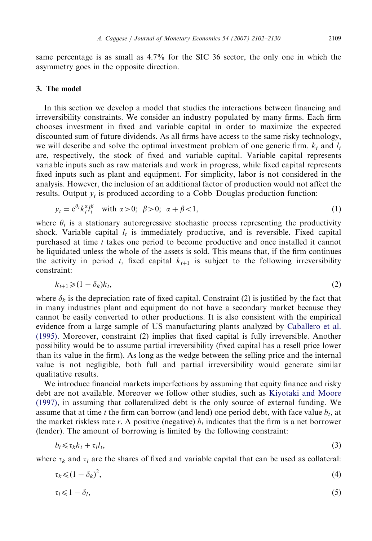same percentage is as small as 4.7% for the SIC 36 sector, the only one in which the asymmetry goes in the opposite direction.

# 3. The model

In this section we develop a model that studies the interactions between financing and irreversibility constraints. We consider an industry populated by many firms. Each firm chooses investment in fixed and variable capital in order to maximize the expected discounted sum of future dividends. As all firms have access to the same risky technology, we will describe and solve the optimal investment problem of one generic firm.  $k_t$  and  $l_t$ are, respectively, the stock of fixed and variable capital. Variable capital represents variable inputs such as raw materials and work in progress, while fixed capital represents fixed inputs such as plant and equipment. For simplicity, labor is not considered in the analysis. However, the inclusion of an additional factor of production would not affect the results. Output  $y_t$  is produced according to a Cobb–Douglas production function:

$$
y_t = e^{\theta_t} k_t^{\alpha} l_t^{\beta} \quad \text{with } \alpha > 0; \ \beta > 0; \ \alpha + \beta < 1,
$$
 (1)

where  $\theta_t$  is a stationary autoregressive stochastic process representing the productivity shock. Variable capital  $l_t$  is immediately productive, and is reversible. Fixed capital purchased at time t takes one period to become productive and once installed it cannot be liquidated unless the whole of the assets is sold. This means that, if the firm continues the activity in period t, fixed capital  $k_{t+1}$  is subject to the following irreversibility constraint:

$$
k_{t+1} \geqslant (1 - \delta_k)k_t,\tag{2}
$$

where  $\delta_k$  is the depreciation rate of fixed capital. Constraint (2) is justified by the fact that in many industries plant and equipment do not have a secondary market because they cannot be easily converted to other productions. It is also consistent with the empirical evidence from a large sample of US manufacturing plants analyzed by [Caballero et al.](#page-28-0) [\(1995\)](#page-28-0). Moreover, constraint (2) implies that fixed capital is fully irreversible. Another possibility would be to assume partial irreversibility (fixed capital has a resell price lower than its value in the firm). As long as the wedge between the selling price and the internal value is not negligible, both full and partial irreversibility would generate similar qualitative results.

We introduce financial markets imperfections by assuming that equity finance and risky debt are not available. Moreover we follow other studies, such as [Kiyotaki and Moore](#page-28-0) [\(1997\)](#page-28-0), in assuming that collateralized debt is the only source of external funding. We assume that at time t the firm can borrow (and lend) one period debt, with face value  $b_t$ , at the market riskless rate r. A positive (negative)  $b_t$  indicates that the firm is a net borrower (lender). The amount of borrowing is limited by the following constraint:

$$
b_t \leq \tau_k k_t + \tau_l l_t,\tag{3}
$$

where  $\tau_k$  and  $\tau_l$  are the shares of fixed and variable capital that can be used as collateral:

$$
\tau_k \leq (1 - \delta_k)^2,\tag{4}
$$

$$
\tau_l \leq 1 - \delta_l,\tag{5}
$$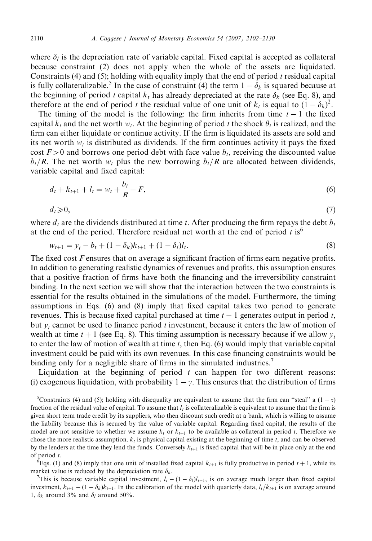where  $\delta_l$  is the depreciation rate of variable capital. Fixed capital is accepted as collateral because constraint (2) does not apply when the whole of the assets are liquidated. Constraints (4) and (5); holding with equality imply that the end of period t residual capital is fully collateralizable.<sup>5</sup> In the case of constraint (4) the term  $1 - \delta_k$  is squared because at the beginning of period t capital  $k_t$  has already depreciated at the rate  $\delta_k$  (see Eq. 8), and therefore at the end of period t the residual value of one unit of  $k_t$  is equal to  $(1 - \delta_k)^2$ .

The timing of the model is the following: the firm inherits from time  $t - 1$  the fixed capital  $k_t$  and the net worth  $w_t$ . At the beginning of period t the shock  $\theta_t$  is realized, and the firm can either liquidate or continue activity. If the firm is liquidated its assets are sold and its net worth  $w_t$  is distributed as dividends. If the firm continues activity it pays the fixed cost  $F>0$  and borrows one period debt with face value  $b<sub>t</sub>$ , receiving the discounted value  $b_t/R$ . The net worth  $w_t$  plus the new borrowing  $b_t/R$  are allocated between dividends, variable capital and fixed capital:

$$
d_t + k_{t+1} + l_t = w_t + \frac{b_t}{R} - F,
$$
\n(6)

$$
d_t \geqslant 0,\tag{7}
$$

where  $d_t$  are the dividends distributed at time t. After producing the firm repays the debt  $b_t$ at the end of the period. Therefore residual net worth at the end of period  $t$  is<sup>6</sup>

$$
w_{t+1} = y_t - b_t + (1 - \delta_k)k_{t+1} + (1 - \delta_l)l_t.
$$
\n<sup>(8)</sup>

The fixed cost F ensures that on average a significant fraction of firms earn negative profits. In addition to generating realistic dynamics of revenues and profits, this assumption ensures that a positive fraction of firms have both the financing and the irreversibility constraint binding. In the next section we will show that the interaction between the two constraints is essential for the results obtained in the simulations of the model. Furthermore, the timing assumptions in Eqs. (6) and (8) imply that fixed capital takes two period to generate revenues. This is because fixed capital purchased at time  $t - 1$  generates output in period t, but  $y_t$  cannot be used to finance period t investment, because it enters the law of motion of wealth at time  $t + 1$  (see Eq. 8). This timing assumption is necessary because if we allow  $y_t$ to enter the law of motion of wealth at time  $t$ , then Eq. (6) would imply that variable capital investment could be paid with its own revenues. In this case financing constraints would be binding only for a negligible share of firms in the simulated industries.<sup>7</sup>

Liquidation at the beginning of period  $t$  can happen for two different reasons: (i) exogenous liquidation, with probability  $1 - \gamma$ . This ensures that the distribution of firms

<sup>&</sup>lt;sup>5</sup>Constraints (4) and (5); holding with disequality are equivalent to assume that the firm can "steal" a  $(1 - \tau)$ fraction of the residual value of capital. To assume that  $l_i$  is collateralizable is equivalent to assume that the firm is given short term trade credit by its suppliers, who then discount such credit at a bank, which is willing to assume the liability because this is secured by the value of variable capital. Regarding fixed capital, the results of the model are not sensitive to whether we assume  $k_t$  or  $k_{t+1}$  to be available as collateral in period t. Therefore we chose the more realistic assumption.  $k_t$  is physical capital existing at the beginning of time t, and can be observed by the lenders at the time they lend the funds. Conversely  $k_{t+1}$  is fixed capital that will be in place only at the end of period  $t$ .

<sup>&</sup>lt;sup>6</sup>Eqs. (1) and (8) imply that one unit of installed fixed capital  $k_{t+1}$  is fully productive in period  $t + 1$ , while its market value is reduced by the depreciation rate  $\delta_k$ .

This is because variable capital investment,  $l_1 - (1 - \delta_l)l_{l-1}$ , is on average much larger than fixed capital investment,  $k_{t+1} - (1 - \delta_k)k_{t-1}$ . In the calibration of the model with quarterly data,  $l_t/k_{t+1}$  is on average around 1,  $\delta_k$  around 3% and  $\delta_l$  around 50%.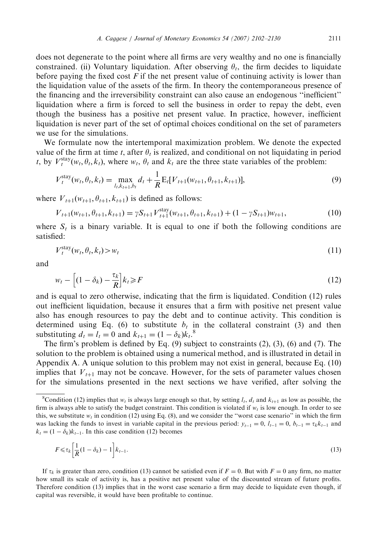does not degenerate to the point where all firms are very wealthy and no one is financially constrained. (ii) Voluntary liquidation. After observing  $\theta_t$ , the firm decides to liquidate before paying the fixed cost  $F$  if the net present value of continuing activity is lower than the liquidation value of the assets of the firm. In theory the contemporaneous presence of the financing and the irreversibility constraint can also cause an endogenous ''inefficient'' liquidation where a firm is forced to sell the business in order to repay the debt, even though the business has a positive net present value. In practice, however, inefficient liquidation is never part of the set of optimal choices conditional on the set of parameters we use for the simulations.

We formulate now the intertemporal maximization problem. We denote the expected value of the firm at time t, after  $\theta_t$  is realized, and conditional on not liquidating in period t, by  $V_t^{\text{stay}}(w_t, \theta_t, k_t)$ , where  $w_t$ ,  $\theta_t$  and  $k_t$  are the three state variables of the problem:

$$
V_t^{\text{stay}}(w_t, \theta_t, k_t) = \max_{l_t, k_{t+1}, b_t} d_t + \frac{1}{R} \mathbf{E}_t[V_{t+1}(w_{t+1}, \theta_{t+1}, k_{t+1})],\tag{9}
$$

where  $V_{t+1}(w_{t+1}, \theta_{t+1}, k_{t+1})$  is defined as follows:

$$
V_{t+1}(w_{t+1}, \theta_{t+1}, k_{t+1}) = \gamma S_{t+1} V_{t+1}^{\text{stay}}(w_{t+1}, \theta_{t+1}, k_{t+1}) + (1 - \gamma S_{t+1}) w_{t+1},\tag{10}
$$

where  $S_t$  is a binary variable. It is equal to one if both the following conditions are satisfied:

$$
V_t^{\text{stay}}(w_t, \theta_t, k_t) > w_t \tag{11}
$$

and

$$
w_t - \left[ (1 - \delta_k) - \frac{\tau_k}{R} \right] k_t \ge F \tag{12}
$$

and is equal to zero otherwise, indicating that the firm is liquidated. Condition (12) rules out inefficient liquidation, because it ensures that a firm with positive net present value also has enough resources to pay the debt and to continue activity. This condition is determined using Eq. (6) to substitute  $b_t$  in the collateral constraint (3) and then substituting  $d_t = l_t = 0$  and  $k_{t+1} = (1 - \delta_k)k_t$ .<sup>8</sup>

The firm's problem is defined by Eq. (9) subject to constraints (2), (3), (6) and (7). The solution to the problem is obtained using a numerical method, and is illustrated in detail in Appendix A. A unique solution to this problem may not exist in general, because Eq. (10) implies that  $V_{t+1}$  may not be concave. However, for the sets of parameter values chosen for the simulations presented in the next sections we have verified, after solving the

$$
F \leqslant \tau_k \left[ \frac{1}{R} (1 - \delta_k) - 1 \right] k_{t-1}.
$$
\n
$$
(13)
$$

If  $\tau_k$  is greater than zero, condition (13) cannot be satisfied even if  $F = 0$ . But with  $F = 0$  any firm, no matter how small its scale of activity is, has a positive net present value of the discounted stream of future profits. Therefore condition (13) implies that in the worst case scenario a firm may decide to liquidate even though, if capital was reversible, it would have been profitable to continue.

<sup>&</sup>lt;sup>8</sup>Condition (12) implies that  $w_t$  is always large enough so that, by setting  $l_t$ ,  $d_t$  and  $k_{t+1}$  as low as possible, the firm is always able to satisfy the budget constraint. This condition is violated if  $w_t$  is low enough. In order to see this, we substitute  $w_t$  in condition (12) using Eq. (8), and we consider the "worst case scenario" in which the firm was lacking the funds to invest in variable capital in the previous period:  $y_{t-1} = 0$ ,  $l_{t-1} = 0$ ,  $b_{t-1} = \tau_k k_{t-1}$  and  $k_t = (1 - \delta_k)k_{t-1}$ . In this case condition (12) becomes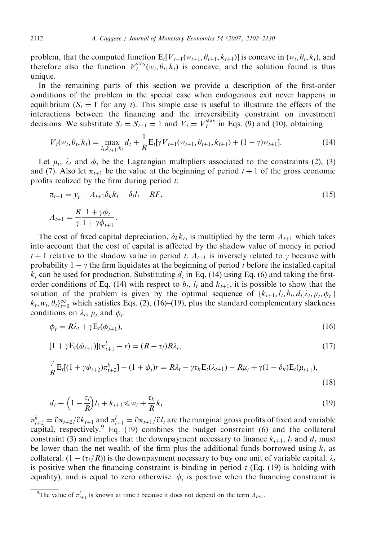problem, that the computed function  $E_t[V_{t+1}(w_{t+1}, \theta_{t+1}, k_{t+1})]$  is concave in  $(w_t, \theta_t, k_t)$ , and therefore also the function  $V_t^{\text{stay}}(w_t, \theta_t, k_t)$  is concave, and the solution found is thus unique.

In the remaining parts of this section we provide a description of the first-order conditions of the problem in the special case when endogenous exit never happens in equilibrium ( $S_t = 1$  for any t). This simple case is useful to illustrate the effects of the interactions between the financing and the irreversibility constraint on investment decisions. We substitute  $S_t = S_{t+1} = 1$  and  $V_t = V_t^{\text{stay}}$  in Eqs. (9) and (10), obtaining

$$
V_t(w_t, \theta_t, k_t) = \max_{l_t, k_{t+1}, b_t} d_t + \frac{1}{R} \mathbb{E}_t[\gamma V_{t+1}(w_{t+1}, \theta_{t+1}, k_{t+1}) + (1 - \gamma)w_{t+1}].
$$
 (14)

Let  $\mu_t$ ,  $\lambda_t$  and  $\phi_t$  be the Lagrangian multipliers associated to the constraints (2), (3) and (7). Also let  $\pi_{t+1}$  be the value at the beginning of period  $t + 1$  of the gross economic profits realized by the firm during period t:

$$
\pi_{t+1} = y_t - A_{t+1} \delta_k k_t - \delta_l l_t - RF,
$$
\n
$$
A_{t+1} = \frac{R}{\gamma} \frac{1 + \gamma \phi_t}{1 + \gamma \phi_{t+1}}.
$$
\n(15)

The cost of fixed capital depreciation,  $\delta_k k_t$ , is multiplied by the term  $\Lambda_{t+1}$  which takes into account that the cost of capital is affected by the shadow value of money in period  $t + 1$  relative to the shadow value in period t.  $\Lambda_{t+1}$  is inversely related to y because with probability  $1 - \gamma$  the firm liquidates at the beginning of period t before the installed capital  $k_t$  can be used for production. Substituting  $d_t$  in Eq. (14) using Eq. (6) and taking the firstorder conditions of Eq. (14) with respect to  $b_t$ ,  $l_t$  and  $k_{t+1}$ , it is possible to show that the solution of the problem is given by the optimal sequence of  $\{k_{t+1}, l_t, b_t, d_t, \lambda_t, \mu_t, \phi_t\}$  $k_t, w_t, \theta_t$ <sub>l</sub><sup>o</sup> which satisfies Eqs. (2), (16)–(19), plus the standard complementary slackness conditions on  $\lambda_t$ ,  $\mu_t$  and  $\phi_t$ :

$$
\phi_t = R\lambda_t + \gamma E_t(\phi_{t+1}),\tag{16}
$$

$$
[1 + \gamma E_t(\phi_{t+1})](\pi_{t+1}^l - r) = (R - \tau_l)R\lambda_t, \tag{17}
$$

$$
\frac{\gamma}{R} \mathbf{E}_{t}[(1+\gamma\phi_{t+2})\pi_{t+2}^{k}] - (1+\phi_{t})r = R\lambda_{t} - \gamma\tau_{k}\mathbf{E}_{t}(\lambda_{t+1}) - R\mu_{t} + \gamma(1-\delta_{k})\mathbf{E}_{t}(\mu_{t+1}),
$$
\n(18)

$$
d_t + \left(1 - \frac{\tau_l}{R}\right)l_t + k_{t+1} \leqslant w_t + \frac{\tau_k}{R}k_t. \tag{19}
$$

 $\pi_{t+2}^k = \partial \pi_{t+2}/\partial k_{t+1}$  and  $\pi_{t+1}^l = \partial \pi_{t+1}/\partial l_t$  are the marginal gross profits of fixed and variable capital, respectively.<sup>9</sup> Eq. (19) combines the budget constraint (6) and the collateral constraint (3) and implies that the downpayment necessary to finance  $k_{t+1}$ ,  $l_t$  and  $d_t$  must be lower than the net wealth of the firm plus the additional funds borrowed using  $k_t$  as collateral.  $(1 - (\tau_l/R))$  is the downpayment necessary to buy one unit of variable capital.  $\lambda_l$ is positive when the financing constraint is binding in period  $t$  (Eq. (19) is holding with equality), and is equal to zero otherwise.  $\phi_t$  is positive when the financing constraint is

<sup>&</sup>lt;sup>9</sup>The value of  $\pi_{t+1}^l$  is known at time t because it does not depend on the term  $A_{t+1}$ .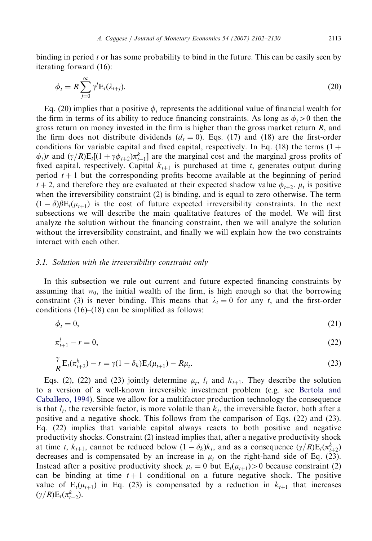binding in period  $t$  or has some probability to bind in the future. This can be easily seen by iterating forward (16):

$$
\phi_t = R \sum_{j=0}^{\infty} \gamma^j E_t(\lambda_{t+j}).
$$
\n(20)

Eq. (20) implies that a positive  $\phi$ , represents the additional value of financial wealth for the firm in terms of its ability to reduce financing constraints. As long as  $\phi_t > 0$  then the gross return on money invested in the firm is higher than the gross market return  $R$ , and the firm does not distribute dividends ( $d_t = 0$ ). Eqs. (17) and (18) are the first-order conditions for variable capital and fixed capital, respectively. In Eq. (18) the terms  $(1 +$  $\phi_t$ )r and  $(\gamma/R)E_t[(1 + \gamma \phi_{t+2})\pi_{t+1}^k]$  are the marginal cost and the marginal gross profits of fixed capital, respectively. Capital  $k_{t+1}$  is purchased at time t, generates output during period  $t + 1$  but the corresponding profits become available at the beginning of period  $t + 2$ , and therefore they are evaluated at their expected shadow value  $\phi_{t+2}$ .  $\mu_t$  is positive when the irreversibility constraint (2) is binding, and is equal to zero otherwise. The term  $(1 - \delta)\beta E_t(\mu_{t+1})$  is the cost of future expected irreversibility constraints. In the next subsections we will describe the main qualitative features of the model. We will first analyze the solution without the financing constraint, then we will analyze the solution without the irreversibility constraint, and finally we will explain how the two constraints interact with each other.

## 3.1. Solution with the irreversibility constraint only

In this subsection we rule out current and future expected financing constraints by assuming that  $w_0$ , the initial wealth of the firm, is high enough so that the borrowing constraint (3) is never binding. This means that  $\lambda_t = 0$  for any t, and the first-order conditions  $(16)$ – $(18)$  can be simplified as follows:

$$
\phi_t = 0,\tag{21}
$$

$$
\pi_{t+1}^l - r = 0,\tag{22}
$$

$$
\frac{\gamma}{R} \mathbf{E}_t(\pi_{t+2}^k) - r = \gamma (1 - \delta_k) \mathbf{E}_t(\mu_{t+1}) - R\mu_t.
$$
\n(23)

Eqs. (2), (22) and (23) jointly determine  $\mu_t$ ,  $l_t$  and  $k_{t+1}$ . They describe the solution to a version of a well-known irreversible investment problem (e.g. see [Bertola and](#page-27-0) [Caballero, 1994\)](#page-27-0). Since we allow for a multifactor production technology the consequence is that  $l_t$ , the reversible factor, is more volatile than  $k_t$ , the irreversible factor, both after a positive and a negative shock. This follows from the comparison of Eqs. (22) and (23). Eq. (22) implies that variable capital always reacts to both positive and negative productivity shocks. Constraint (2) instead implies that, after a negative productivity shock at time t,  $k_{t+1}$ , cannot be reduced below  $(1 - \delta_k)k_t$ , and as a consequence  $(\gamma/R)E_t(\pi_{t+2}^k)$ decreases and is compensated by an increase in  $\mu_t$  on the right-hand side of Eq. (23). Instead after a positive productivity shock  $\mu_t = 0$  but  $E_t(\mu_{t+1}) > 0$  because constraint (2) can be binding at time  $t + 1$  conditional on a future negative shock. The positive value of  $E_t(\mu_{t+1})$  in Eq. (23) is compensated by a reduction in  $k_{t+1}$  that increases  $(\gamma/R) \mathbf{E}_t(\pi_{t+2}^k)$ .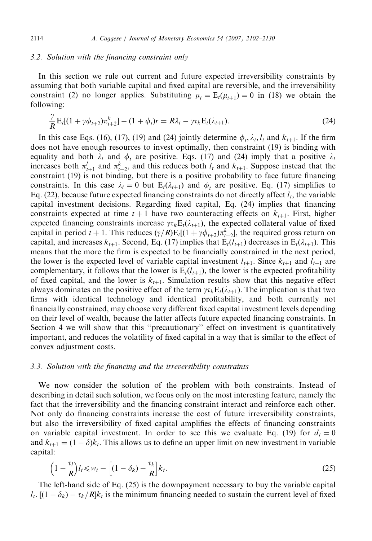#### 3.2. Solution with the financing constraint only

In this section we rule out current and future expected irreversibility constraints by assuming that both variable capital and fixed capital are reversible, and the irreversibility constraint (2) no longer applies. Substituting  $\mu_t = E_t(\mu_{t+1}) = 0$  in (18) we obtain the following:

$$
\frac{\gamma}{R} \mathbf{E}_{t}[(1 + \gamma \phi_{t+2})\pi_{t+2}^{k}] - (1 + \phi_{t})r = R\lambda_{t} - \gamma \tau_{k} \mathbf{E}_{t}(\lambda_{t+1}). \tag{24}
$$

In this case Eqs. (16), (17), (19) and (24) jointly determine  $\phi_i$ ,  $\lambda_i$ ,  $l_t$  and  $k_{t+1}$ . If the firm does not have enough resources to invest optimally, then constraint (19) is binding with equality and both  $\lambda_t$  and  $\phi_t$ , are positive. Eqs. (17) and (24) imply that a positive  $\lambda_t$ increases both  $\pi_{t+1}^l$  and  $\pi_{t+2}^k$ , and this reduces both  $l_t$  and  $k_{t+1}$ . Suppose instead that the constraint (19) is not binding, but there is a positive probability to face future financing constraints. In this case  $\lambda_t = 0$  but  $E_t(\lambda_{t+1})$  and  $\phi_t$  are positive. Eq. (17) simplifies to Eq. (22), because future expected financing constraints do not directly affect  $l<sub>t</sub>$ , the variable capital investment decisions. Regarding fixed capital, Eq. (24) implies that financing constraints expected at time  $t + 1$  have two counteracting effects on  $k_{t+1}$ . First, higher expected financing constraints increase  $\gamma \tau_k E_t(\lambda_{t+1})$ , the expected collateral value of fixed capital in period  $t + 1$ . This reduces  $(\gamma/R)E_t[(1 + \gamma \phi_{t+2})\pi_{t+2}^k]$ , the required gross return on capital, and increases  $k_{t+1}$ . Second, Eq. (17) implies that  $E_t(l_{t+1})$  decreases in  $E_t(\lambda_{t+1})$ . This means that the more the firm is expected to be financially constrained in the next period, the lower is the expected level of variable capital investment  $l_{t+1}$ . Since  $k_{t+1}$  and  $l_{t+1}$  are complementary, it follows that the lower is  $E_t(l_{t+1})$ , the lower is the expected profitability of fixed capital, and the lower is  $k_{t+1}$ . Simulation results show that this negative effect always dominates on the positive effect of the term  $\gamma \tau_k E_t(\lambda_{t+1})$ . The implication is that two firms with identical technology and identical profitability, and both currently not financially constrained, may choose very different fixed capital investment levels depending on their level of wealth, because the latter affects future expected financing constraints. In Section 4 we will show that this ''precautionary'' effect on investment is quantitatively important, and reduces the volatility of fixed capital in a way that is similar to the effect of convex adjustment costs.

## 3.3. Solution with the financing and the irreversibility constraints

We now consider the solution of the problem with both constraints. Instead of describing in detail such solution, we focus only on the most interesting feature, namely the fact that the irreversibility and the financing constraint interact and reinforce each other. Not only do financing constraints increase the cost of future irreversibility constraints, but also the irreversibility of fixed capital amplifies the effects of financing constraints on variable capital investment. In order to see this we evaluate Eq. (19) for  $d_t = 0$ and  $k_{t+1} = (1 - \delta)k_t$ . This allows us to define an upper limit on new investment in variable capital:

$$
\left(1 - \frac{\tau_l}{R}\right)l_t \leqslant w_t - \left[(1 - \delta_k) - \frac{\tau_k}{R}\right]k_t.
$$
\n<sup>(25)</sup>

The left-hand side of Eq. (25) is the downpayment necessary to buy the variable capital  $l_i$ .  $[(1 - \delta_k) - \tau_k/R]k_i$  is the minimum financing needed to sustain the current level of fixed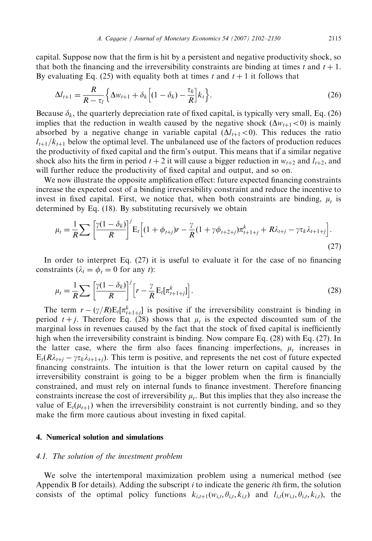capital. Suppose now that the firm is hit by a persistent and negative productivity shock, so that both the financing and the irreversibility constraints are binding at times t and  $t + 1$ . By evaluating Eq. (25) with equality both at times t and  $t + 1$  it follows that

$$
\Delta l_{t+1} = \frac{R}{R - \tau_t} \left\{ \Delta w_{t+1} + \delta_k \left[ (1 - \delta_k) - \frac{\tau_k}{R} \right] k_t \right\}.
$$
\n(26)

Because  $\delta_k$ , the quarterly depreciation rate of fixed capital, is typically very small, Eq. (26) implies that the reduction in wealth caused by the negative shock ( $\Delta w_{t+1}$  < 0) is mainly absorbed by a negative change in variable capital  $(\Delta l_{t+1} < 0)$ . This reduces the ratio  $l_{t+1}/k_{t+1}$  below the optimal level. The unbalanced use of the factors of production reduces the productivity of fixed capital and the firm's output. This means that if a similar negative shock also hits the firm in period  $t + 2$  it will cause a bigger reduction in  $w_{t+2}$  and  $l_{t+2}$ , and will further reduce the productivity of fixed capital and output, and so on.

We now illustrate the opposite amplification effect: future expected financing constraints increase the expected cost of a binding irreversibility constraint and reduce the incentive to invest in fixed capital. First, we notice that, when both constraints are binding,  $\mu_t$  is determined by Eq. (18). By substituting recursively we obtain

$$
\mu_{t} = \frac{1}{R} \sum \left[ \frac{\gamma (1 - \delta_{k})}{R} \right]^{j} E_{t} \left[ (1 + \phi_{t+j}) r - \frac{\gamma}{R} (1 + \gamma \phi_{t+2+j}) \pi_{t+1+j}^{k} + R \lambda_{t+j} - \gamma \tau_{k} \lambda_{t+1+j} \right].
$$
\n(27)

In order to interpret Eq. (27) it is useful to evaluate it for the case of no financing constraints ( $\lambda_t = \phi_t = 0$  for any t):

$$
\mu_t = \frac{1}{R} \sum \left[ \frac{\gamma (1 - \delta_k)}{R} \right]^j \left[ r - \frac{\gamma}{R} \mathbf{E}_t [\pi_{t+1+j}^k] \right]. \tag{28}
$$

The term  $r - (\gamma/R) E_t[\pi_{t+1+j}^k]$  is positive if the irreversibility constraint is binding in period  $t + j$ . Therefore Eq. (28) shows that  $\mu_t$  is the expected discounted sum of the marginal loss in revenues caused by the fact that the stock of fixed capital is inefficiently high when the irreversibility constraint is binding. Now compare Eq. (28) with Eq. (27). In the latter case, where the firm also faces financing imperfections,  $\mu_t$  increases in  $E_t(R\lambda_{t+i} - \gamma \tau_k \lambda_{t+1+i})$ . This term is positive, and represents the net cost of future expected financing constraints. The intuition is that the lower return on capital caused by the irreversibility constraint is going to be a bigger problem when the firm is financially constrained, and must rely on internal funds to finance investment. Therefore financing constraints increase the cost of irreversibility  $\mu_t$ . But this implies that they also increase the value of  $E_t(\mu_{t+1})$  when the irreversibility constraint is not currently binding, and so they make the firm more cautious about investing in fixed capital.

## 4. Numerical solution and simulations

#### 4.1. The solution of the investment problem

We solve the intertemporal maximization problem using a numerical method (see Appendix B for details). Adding the subscript  $i$  to indicate the generic  $i$ th firm, the solution consists of the optimal policy functions  $k_{i,t+1}(w_{i,t}, \theta_{i,t}, k_{i,t})$  and  $l_{i,t}(w_{i,t}, \theta_{i,t}, k_{i,t})$ , the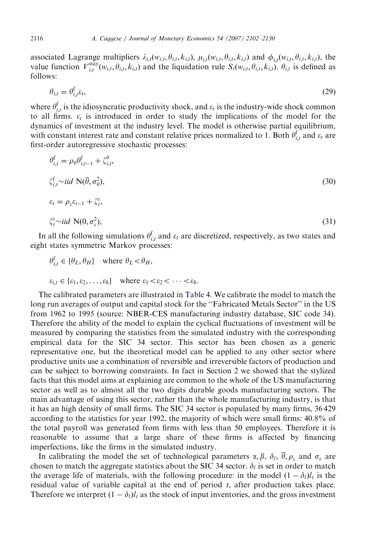associated Lagrange multipliers  $\lambda_{i,t}(w_{i,t}, \theta_{i,t}, k_{i,t})$ ,  $\mu_{i,t}(w_{i,t}, \theta_{i,t}, k_{i,t})$  and  $\phi_{i,t}(w_{i,t}, \theta_{i,t}, k_{i,t})$ , the value function  $V_{i,t}^{\text{stay}}(w_{i,t}, \theta_{i,t}, k_{i,t})$  and the liquidation rule  $S_t(w_{i,t}, \theta_{i,t}, k_{i,t})$ .  $\theta_{i,t}$  is defined as follows:

$$
\theta_{i,t} = \theta_{i,t}^{\mathrm{f}} \varepsilon_t,\tag{29}
$$

where  $\theta_{i,t}^{\text{f}}$  is the idiosyncratic productivity shock, and  $\varepsilon_t$  is the industry-wide shock common to all firms.  $\varepsilon_t$  is introduced in order to study the implications of the model for the dynamics of investment at the industry level. The model is otherwise partial equilibrium, with constant interest rate and constant relative prices normalized to 1. Both  $\theta_{i,t}^{\text{f}}$  and  $\varepsilon_t$  are first-order autoregressive stochastic processes:

$$
\theta_{i,t}^{\mathbf{f}} = \rho_{\theta} \theta_{i,t-1}^{\mathbf{f}} + \zeta_{i,t}^{\theta},
$$
\n
$$
\zeta_{i,t}^{\mathbf{f}} \sim \text{iid } \mathbf{N}(\overline{\theta}, \sigma_{\theta}^{2}),
$$
\n
$$
\varepsilon_{t} = \rho_{\varepsilon} \varepsilon_{t-1} + \zeta_{t}^{\varepsilon},
$$
\n
$$
\zeta_{t}^{\varepsilon} \sim \text{iid } \mathbf{N}(0, \sigma_{\varepsilon}^{2}),
$$
\n(31)

In all the following simulations  $\theta_{i,t}^f$  and  $\varepsilon_t$  are discretized, respectively, as two states and eight states symmetric Markov processes:

$$
\theta_{i,t}^f \in \{\theta_L, \theta_H\} \quad \text{where } \theta_L < \theta_H,
$$
\n
$$
\varepsilon_{i,t} \in \{\varepsilon_1, \varepsilon_2, \dots, \varepsilon_8\} \quad \text{where } \varepsilon_1 < \varepsilon_2 < \dots < \varepsilon_8.
$$

The calibrated parameters are illustrated in [Table 4](#page-15-0). We calibrate the model to match the long run averages of output and capital stock for the ''Fabricated Metals Sector'' in the US from 1962 to 1995 (source: NBER-CES manufacturing industry database, SIC code 34). Therefore the ability of the model to explain the cyclical fluctuations of investment will be measured by comparing the statistics from the simulated industry with the corresponding empirical data for the SIC 34 sector. This sector has been chosen as a generic representative one, but the theoretical model can be applied to any other sector where productive units use a combination of reversible and irreversible factors of production and can be subject to borrowing constraints. In fact in Section 2 we showed that the stylized facts that this model aims at explaining are common to the whole of the US manufacturing sector as well as to almost all the two digits durable goods manufacturing sectors. The main advantage of using this sector, rather than the whole manufacturing industry, is that it has an high density of small firms. The SIC 34 sector is populated by many firms, 36 429 according to the statistics for year 1992, the majority of which were small firms: 40.8% of the total payroll was generated from firms with less than 50 employees. Therefore it is reasonable to assume that a large share of these firms is affected by financing imperfections, like the firms in the simulated industry.

In calibrating the model the set of technological parameters  $\alpha$ ,  $\beta$ ,  $\delta_l$ ,  $\overline{\theta}$ ,  $\rho_{\varepsilon}$  and  $\sigma_{\varepsilon}$  are chosen to match the aggregate statistics about the SIC 34 sector.  $\delta_l$  is set in order to match the average life of materials, with the following procedure: in the model  $(1 - \delta_l)l_t$  is the residual value of variable capital at the end of period  $t$ , after production takes place. Therefore we interpret  $(1 - \delta_l)l_t$  as the stock of input inventories, and the gross investment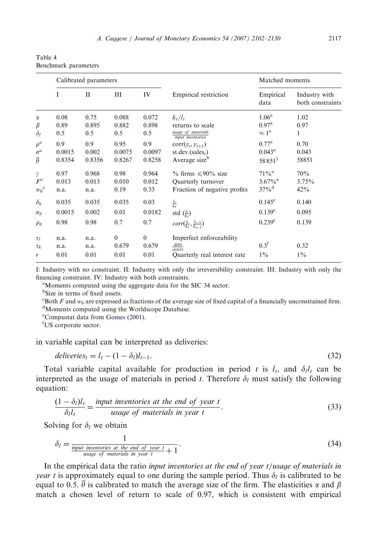<span id="page-15-0"></span>Table 4 Benchmark parameters

|                                                                              | Calibrated parameters                          |                                                |                                                   |                                                  |                                                                                                                                                                      | Matched moments                                                                                    |                                             |  |
|------------------------------------------------------------------------------|------------------------------------------------|------------------------------------------------|---------------------------------------------------|--------------------------------------------------|----------------------------------------------------------------------------------------------------------------------------------------------------------------------|----------------------------------------------------------------------------------------------------|---------------------------------------------|--|
|                                                                              | T                                              | $_{\rm II}$                                    | Ш                                                 | IV                                               | Empirical restriction                                                                                                                                                | Empirical<br>data                                                                                  | Industry with<br>both constraints           |  |
| $\alpha$<br>β<br>$\delta_l$<br>$\rho^a$<br>$\sigma^a$<br>$\overline{\theta}$ | 0.08<br>0.89<br>0.5<br>0.9<br>0.0015<br>0.8354 | 0.75<br>0.895<br>0.5<br>0.9<br>0.002<br>0.8356 | 0.088<br>0.882<br>0.5<br>0.95<br>0.0075<br>0.8267 | 0.072<br>0.898<br>0.5<br>0.9<br>0.0097<br>0.8258 | $k_t/l_t$<br>returns to scale<br>usage of materials<br><i>input inventories</i><br>$corr(y_t, y_{t+1})$<br>st.dev.(sales <sub>t</sub> )<br>Average size <sup>b</sup> | 1.06 <sup>a</sup><br>$0.97^{\rm a}$<br>$\approx 1^{\rm a}$<br>0.77 <sup>a</sup><br>$0.043^{\rm a}$ | 1.02<br>0.97<br>1<br>0.70<br>0.043<br>58851 |  |
| γ<br>$F^{\rm c}$<br>$w_0$ <sup>c</sup>                                       | 0.97<br>0.013<br>n.a.                          | 0.968<br>0.013<br>n.a.                         | 0.98<br>0.010<br>0.19                             | 0.964<br>0.012<br>0.33                           | % firms $\leq 90\%$ size<br>Quarterly turnover<br>Fraction of negative profits                                                                                       | 58 8 5 1 <sup>3</sup><br>$71\%$ <sup>a</sup><br>$3.67\%$ <sup>a</sup><br>$37\%$ <sup>d</sup>       | 70%<br>3.75%<br>42%                         |  |
| $\delta_k$<br>$\sigma_{\theta}$<br>$\rho_\theta$                             | 0.035<br>0.0015<br>0.98                        | 0.035<br>0.002<br>0.98                         | 0.035<br>0.01<br>0.7                              | 0.03<br>0.0182<br>0.7                            | $\frac{i_t}{k_t}$<br>std $\left(\frac{i_l}{k_l}\right)$<br>$corr(\frac{i_t}{k_t}, \frac{i_{t-1}}{k_{t-1}})$                                                          | $0.145^{\circ}$<br>$0.139^e$<br>0.239 <sup>e</sup>                                                 | 0.140<br>0.095<br>0.139                     |  |
| $\tau_l$<br>$\tau_k$<br>r                                                    | n.a.<br>n.a.<br>0.01                           | n.a.<br>n.a.<br>0.01                           | $\mathbf{0}$<br>0.679<br>0.01                     | $\mathbf{0}$<br>0.679<br>0.01                    | Imperfect enforceability<br>debt<br>assets<br>Quarterly real interest rate                                                                                           | 0.3 <sup>f</sup><br>$1\%$                                                                          | 0.32<br>$1\%$                               |  |

I: Industry with no constraint. II: Industry with only the irreversibility constraint. III: Industry with only the financing constraint. IV: Industry with both constraints.

<sup>a</sup>Moments computed using the aggregate data for the SIC 34 sector.

b Size in terms of fixed assets.

 $c^{\text{Both}}F$  and  $w_0$  are expressed as fractions of the average size of fixed capital of a financially unconstrained firm. <sup>d</sup>Moments computed using the Worldscope Database.

<sup>e</sup>Compustat data from [Gomes \(2001\)](#page-28-0).

<sup>f</sup>US corporate sector.

in variable capital can be interpreted as deliveries:

$$
deliveries_t = l_t - (1 - \delta_t)l_{t-1}.
$$
\n
$$
(32)
$$

Total variable capital available for production in period t is  $l_t$ , and  $\delta_l l_t$  can be interpreted as the usage of materials in period t. Therefore  $\delta_l$  must satisfy the following equation:

$$
\frac{(1 - \delta_l)l_t}{\delta_l l_t} = \frac{input \text{ invertories at the end of year } t}{usage \text{ of materials in year } t}.
$$
\n(33)

Solving for  $\delta_l$  we obtain

$$
\delta_l = \frac{1}{\frac{input \text{ inpart} \text{ inventories at the end of year } t}{\text{usage of materials in year } t} + 1}.
$$
\n(34)

In the empirical data the ratio *input inventories at the end of year t/usage of materials in year t* is approximately equal to one during the sample period. Thus  $\delta_l$  is calibrated to be equal to 0.5.  $\bar{\theta}$  is calibrated to match the average size of the firm. The elasticities  $\alpha$  and  $\beta$ match a chosen level of return to scale of 0.97, which is consistent with empirical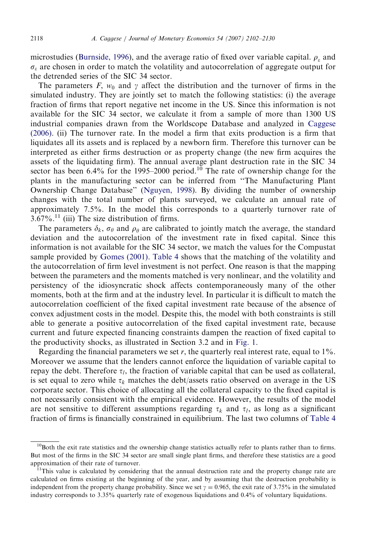microstudies ([Burnside, 1996](#page-28-0)), and the average ratio of fixed over variable capital.  $\rho_{\rm s}$  and  $\sigma_{\varepsilon}$  are chosen in order to match the volatility and autocorrelation of aggregate output for the detrended series of the SIC 34 sector.

The parameters F,  $w_0$  and y affect the distribution and the turnover of firms in the simulated industry. They are jointly set to match the following statistics: (i) the average fraction of firms that report negative net income in the US. Since this information is not available for the SIC 34 sector, we calculate it from a sample of more than 1300 US industrial companies drawn from the Worldscope Database and analyzed in [Caggese](#page-28-0) [\(2006\).](#page-28-0) (ii) The turnover rate. In the model a firm that exits production is a firm that liquidates all its assets and is replaced by a newborn firm. Therefore this turnover can be interpreted as either firms destruction or as property change (the new firm acquires the assets of the liquidating firm). The annual average plant destruction rate in the SIC 34 sector has been 6.4% for the 1995–2000 period.<sup>10</sup> The rate of ownership change for the plants in the manufacturing sector can be inferred from ''The Manufacturing Plant Ownership Change Database'' ([Nguyen, 1998\)](#page-28-0). By dividing the number of ownership changes with the total number of plants surveyed, we calculate an annual rate of approximately 7.5%. In the model this corresponds to a quarterly turnover rate of  $3.67\%$ <sup>11</sup> (iii) The size distribution of firms.

The parameters  $\delta_k$ ,  $\sigma_\theta$  and  $\rho_\theta$  are calibrated to jointly match the average, the standard deviation and the autocorrelation of the investment rate in fixed capital. Since this information is not available for the SIC 34 sector, we match the values for the Compustat sample provided by [Gomes \(2001\)](#page-28-0). [Table 4](#page-15-0) shows that the matching of the volatility and the autocorrelation of firm level investment is not perfect. One reason is that the mapping between the parameters and the moments matched is very nonlinear, and the volatility and persistency of the idiosyncratic shock affects contemporaneously many of the other moments, both at the firm and at the industry level. In particular it is difficult to match the autocorrelation coefficient of the fixed capital investment rate because of the absence of convex adjustment costs in the model. Despite this, the model with both constraints is still able to generate a positive autocorrelation of the fixed capital investment rate, because current and future expected financing constraints dampen the reaction of fixed capital to the productivity shocks, as illustrated in Section 3.2 and in [Fig. 1.](#page-17-0)

Regarding the financial parameters we set  $r$ , the quarterly real interest rate, equal to  $1\%$ . Moreover we assume that the lenders cannot enforce the liquidation of variable capital to repay the debt. Therefore  $\tau_l$ , the fraction of variable capital that can be used as collateral, is set equal to zero while  $\tau_k$  matches the debt/assets ratio observed on average in the US corporate sector. This choice of allocating all the collateral capacity to the fixed capital is not necessarily consistent with the empirical evidence. However, the results of the model are not sensitive to different assumptions regarding  $\tau_k$  and  $\tau_l$ , as long as a significant fraction of firms is financially constrained in equilibrium. The last two columns of [Table 4](#page-15-0)

 $10$ Both the exit rate statistics and the ownership change statistics actually refer to plants rather than to firms. But most of the firms in the SIC 34 sector are small single plant firms, and therefore these statistics are a good approximation of their rate of turnover.

<sup>&</sup>lt;sup>11</sup>This value is calculated by considering that the annual destruction rate and the property change rate are calculated on firms existing at the beginning of the year, and by assuming that the destruction probability is independent from the property change probability. Since we set  $\gamma = 0.965$ , the exit rate of 3.75% in the simulated industry corresponds to 3.35% quarterly rate of exogenous liquidations and 0.4% of voluntary liquidations.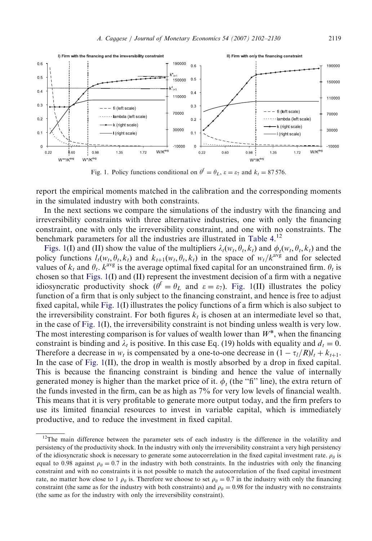<span id="page-17-0"></span>

Fig. 1. Policy functions conditional on  $\theta^f = \theta_L$ ,  $\varepsilon = \varepsilon_7$  and  $k_t = 87576$ .

report the empirical moments matched in the calibration and the corresponding moments in the simulated industry with both constraints.

In the next sections we compare the simulations of the industry with the financing and irreversibility constraints with three alternative industries, one with only the financing constraint, one with only the irreversibility constraint, and one with no constraints. The benchmark parameters for all the industries are illustrated in [Table 4.](#page-15-0)<sup>12</sup>

Figs. 1(I) and (II) show the value of the multipliers  $\lambda_i(w_t, \theta_t, k_t)$  and  $\phi_i(w_t, \theta_t, k_t)$  and the policy functions  $l_t(w_t, \theta_t, k_t)$  and  $k_{t+1}(w_t, \theta_t, k_t)$  in the space of  $w_t/k^{\text{avg}}$  and for selected values of  $k_t$  and  $\theta_t$ .  $k^{\text{avg}}$  is the average optimal fixed capital for an unconstrained firm.  $\theta_t$  is chosen so that Figs. 1(I) and (II) represent the investment decision of a firm with a negative idiosyncratic productivity shock ( $\theta^f = \theta_L$  and  $\varepsilon = \varepsilon_7$ ). Fig. 1(II) illustrates the policy function of a firm that is only subject to the financing constraint, and hence is free to adjust fixed capital, while Fig. 1(I) illustrates the policy functions of a firm which is also subject to the irreversibility constraint. For both figures  $k_t$  is chosen at an intermediate level so that, in the case of Fig. 1(I), the irreversibility constraint is not binding unless wealth is very low. The most interesting comparison is for values of wealth lower than  $W^*$ , when the financing constraint is binding and  $\lambda_t$  is positive. In this case Eq. (19) holds with equality and  $d_t = 0$ . Therefore a decrease in  $w_t$  is compensated by a one-to-one decrease in  $(1 - \tau_l/R)l_t + k_{t+1}$ . In the case of Fig. 1(II), the drop in wealth is mostly absorbed by a drop in fixed capital. This is because the financing constraint is binding and hence the value of internally generated money is higher than the market price of it.  $\phi_t$  (the "fi" line), the extra return of the funds invested in the firm, can be as high as 7% for very low levels of financial wealth. This means that it is very profitable to generate more output today, and the firm prefers to use its limited financial resources to invest in variable capital, which is immediately productive, and to reduce the investment in fixed capital.

 $12$ The main difference between the parameter sets of each industry is the difference in the volatility and persistency of the productivity shock. In the industry with only the irreversibility constraint a very high persistency of the idiosyncratic shock is necessary to generate some autocorrelation in the fixed capital investment rate.  $\rho_{\theta}$  is equal to 0.98 against  $\rho_{\theta} = 0.7$  in the industry with both constraints. In the industries with only the financing constraint and with no constraints it is not possible to match the autocorrelation of the fixed capital investment rate, no matter how close to 1  $\rho_{\theta}$  is. Therefore we choose to set  $\rho_{\theta} = 0.7$  in the industry with only the financing constraint (the same as for the industry with both constraints) and  $\rho_{\theta} = 0.98$  for the industry with no constraints (the same as for the industry with only the irreversibility constraint).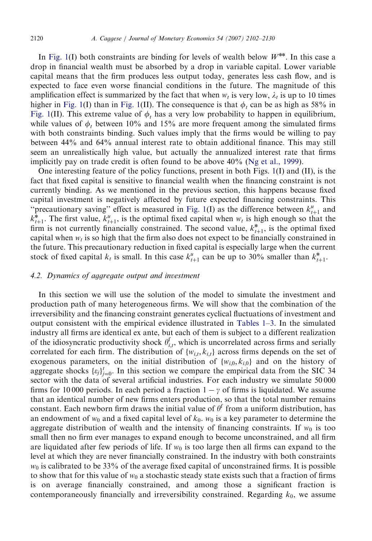In [Fig. 1](#page-17-0)(I) both constraints are binding for levels of wealth below  $W^{**}$ . In this case a drop in financial wealth must be absorbed by a drop in variable capital. Lower variable capital means that the firm produces less output today, generates less cash flow, and is expected to face even worse financial conditions in the future. The magnitude of this amplification effect is summarized by the fact that when  $w_t$  is very low,  $\lambda_t$  is up to 10 times higher in [Fig. 1\(](#page-17-0)I) than in Fig. 1(II). The consequence is that  $\phi_t$  can be as high as 58% in [Fig. 1\(](#page-17-0)II). This extreme value of  $\phi_t$  has a very low probability to happen in equilibrium, while values of  $\phi$ , between 10% and 15% are more frequent among the simulated firms with both constraints binding. Such values imply that the firms would be willing to pay between 44% and 64% annual interest rate to obtain additional finance. This may still seem an unrealistically high value, but actually the annualized interest rate that firms implicitly pay on trade credit is often found to be above 40% [\(Ng et al., 1999](#page-28-0)).

One interesting feature of the policy functions, present in both Figs. [1](#page-17-0)(I) and (II), is the fact that fixed capital is sensitive to financial wealth when the financing constraint is not currently binding. As we mentioned in the previous section, this happens because fixed capital investment is negatively affected by future expected financing constraints. This "precautionary saving" effect is measured in [Fig. 1\(](#page-17-0)I) as the difference between  $k_{t+1}^u$  and  $k_{t+1}^*$ . The first value,  $k_{t+1}^u$ , is the optimal fixed capital when  $w_t$  is high enough so that the firm is not currently financially constrained. The second value,  $k_{t+1}^*$ , is the optimal fixed capital when  $w_t$  is so high that the firm also does not expect to be financially constrained in the future. This precautionary reduction in fixed capital is especially large when the current stock of fixed capital  $k_t$  is small. In this case  $k_{t+1}^u$  can be up to 30% smaller than  $k_{t+1}^*$ .

# 4.2. Dynamics of aggregate output and investment

In this section we will use the solution of the model to simulate the investment and production path of many heterogeneous firms. We will show that the combination of the irreversibility and the financing constraint generates cyclical fluctuations of investment and output consistent with the empirical evidence illustrated in [Tables 1–](#page-4-0)[3.](#page-6-0) In the simulated industry all firms are identical ex ante, but each of them is subject to a different realization of the idiosyncratic productivity shock  $\theta_{i,t}^f$ , which is uncorrelated across firms and serially correlated for each firm. The distribution of  ${w_{i,t}, k_{i,t}}$  across firms depends on the set of exogenous parameters, on the initial distribution of  ${w_{i,0}, k_{i,0}}$  and on the history of aggregate shocks  $\{\varepsilon_j\}_{j=0}^t$ . In this section we compare the empirical data from the SIC 34 sector with the data of several artificial industries. For each industry we simulate 50 000 firms for 10 000 periods. In each period a fraction  $1 - \gamma$  of firms is liquidated. We assume that an identical number of new firms enters production, so that the total number remains constant. Each newborn firm draws the initial value of  $\theta^f$  from a uniform distribution, has an endowment of  $w_0$  and a fixed capital level of  $k_0$ .  $w_0$  is a key parameter to determine the aggregate distribution of wealth and the intensity of financing constraints. If  $w_0$  is too small then no firm ever manages to expand enough to become unconstrained, and all firm are liquidated after few periods of life. If  $w_0$  is too large then all firms can expand to the level at which they are never financially constrained. In the industry with both constraints  $w_0$  is calibrated to be 33% of the average fixed capital of unconstrained firms. It is possible to show that for this value of  $w_0$  a stochastic steady state exists such that a fraction of firms is on average financially constrained, and among those a significant fraction is contemporaneously financially and irreversibility constrained. Regarding  $k_0$ , we assume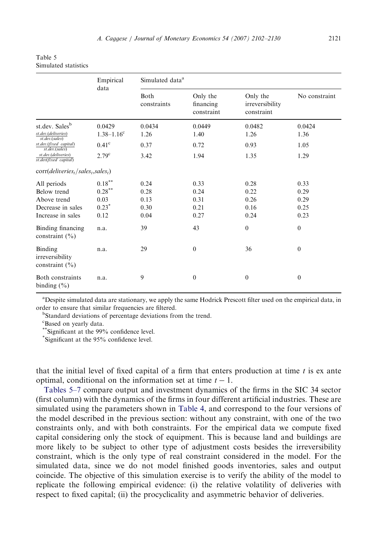|                                                                | Empirical<br>data                    | Simulated data <sup>a</sup> |                                     |                                           |                  |
|----------------------------------------------------------------|--------------------------------------|-----------------------------|-------------------------------------|-------------------------------------------|------------------|
|                                                                |                                      | Both<br>constraints         | Only the<br>financing<br>constraint | Only the<br>irreversibility<br>constraint | No constraint    |
| st.dev. Sales <sup>b</sup><br>st.dev.(deliveries)              | 0.0429<br>$1.38 - 1.16$ <sup>c</sup> | 0.0434<br>1.26              | 0.0449<br>1.40                      | 0.0482<br>1.26                            | 0.0424<br>1.36   |
| st.dev.(sales)<br>st.dev.(fixed capital)                       | 0.41 <sup>c</sup>                    | 0.37                        | 0.72                                | 0.93                                      | 1.05             |
| st.dev.(sales)<br>st.dev.(deliveries)<br>st.dev(fixed capital) | 2.79 <sup>c</sup>                    | 3.42                        | 1.94                                | 1.35                                      | 1.29             |
| $corr(deliveries_t/sales_t,sales_t)$                           |                                      |                             |                                     |                                           |                  |
| All periods                                                    | $0.18***$                            | 0.24                        | 0.33                                | 0.28                                      | 0.33             |
| Below trend                                                    | $0.28***$                            | 0.28                        | 0.24                                | 0.22                                      | 0.29             |
| Above trend                                                    | 0.03                                 | 0.13                        | 0.31                                | 0.26                                      | 0.29             |
| Decrease in sales                                              | $0.23*$                              | 0.30                        | 0.21                                | 0.16                                      | 0.25             |
| Increase in sales                                              | 0.12                                 | 0.04                        | 0.27                                | 0.24                                      | 0.23             |
| Binding financing<br>constraint $(\% )$                        | n.a.                                 | 39                          | 43                                  | $\boldsymbol{0}$                          | $\boldsymbol{0}$ |
| Binding<br>irreversibility<br>constraint $(\% )$               | n.a.                                 | 29                          | $\mathbf{0}$                        | 36                                        | $\mathbf{0}$     |
| Both constraints<br>binding $(\% )$                            | n.a.                                 | 9                           | $\mathbf{0}$                        | $\mathbf{0}$                              | $\mathbf{0}$     |

<span id="page-19-0"></span>Table 5 Simulated statistics

<sup>a</sup>Despite simulated data are stationary, we apply the same Hodrick Prescott filter used on the empirical data, in order to ensure that similar frequencies are filtered.

<sup>b</sup>Standard deviations of percentage deviations from the trend.

c Based on yearly data.

\*\*Significant at the 99% confidence level.

\* Significant at the 95% confidence level.

that the initial level of fixed capital of a firm that enters production at time  $t$  is ex ante optimal, conditional on the information set at time  $t - 1$ .

Tables 5–7 compare output and investment dynamics of the firms in the SIC 34 sector (first column) with the dynamics of the firms in four different artificial industries. These are simulated using the parameters shown in [Table 4,](#page-15-0) and correspond to the four versions of the model described in the previous section: without any constraint, with one of the two constraints only, and with both constraints. For the empirical data we compute fixed capital considering only the stock of equipment. This is because land and buildings are more likely to be subject to other type of adjustment costs besides the irreversibility constraint, which is the only type of real constraint considered in the model. For the simulated data, since we do not model finished goods inventories, sales and output coincide. The objective of this simulation exercise is to verify the ability of the model to replicate the following empirical evidence: (i) the relative volatility of deliveries with respect to fixed capital; (ii) the procyclicality and asymmetric behavior of deliveries.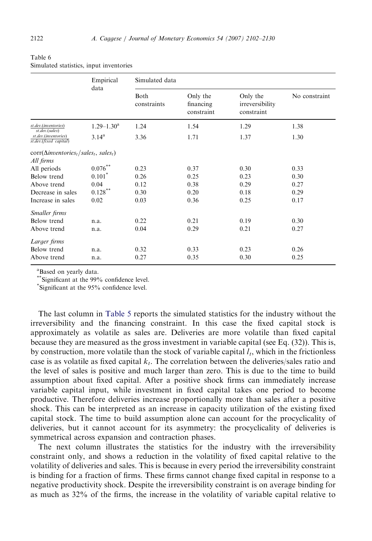|                                                                                          | Empirical<br>data          | Simulated data      |                                     |                                           |               |
|------------------------------------------------------------------------------------------|----------------------------|---------------------|-------------------------------------|-------------------------------------------|---------------|
|                                                                                          |                            | Both<br>constraints | Only the<br>financing<br>constraint | Only the<br>irreversibility<br>constraint | No constraint |
| st.dev.(inventories)<br>st.dev.(sales)                                                   | $1.29 - 1.30^{\mathrm{a}}$ | 1.24                | 1.54                                | 1.29                                      | 1.38          |
| st.dev.(inventories)<br>st.dev.(fixed capital)                                           | $3.14^{\rm a}$             | 3.36                | 1.71                                | 1.37                                      | 1.30          |
| $corr(\Delta$ <i>inventories</i> <sub>t</sub> /sales <sub>t</sub> , sales <sub>t</sub> ) |                            |                     |                                     |                                           |               |
| All firms                                                                                |                            |                     |                                     |                                           |               |
| All periods                                                                              | $0.076***$                 | 0.23                | 0.37                                | 0.30                                      | 0.33          |
| Below trend                                                                              | $0.101*$                   | 0.26                | 0.25                                | 0.23                                      | 0.30          |
| Above trend                                                                              | 0.04                       | 0.12                | 0.38                                | 0.29                                      | 0.27          |
| Decrease in sales                                                                        | $0.128***$                 | 0.30                | 0.20                                | 0.18                                      | 0.29          |
| Increase in sales                                                                        | 0.02                       | 0.03                | 0.36                                | 0.25                                      | 0.17          |
| Smaller firms                                                                            |                            |                     |                                     |                                           |               |
| Below trend                                                                              | n.a.                       | 0.22                | 0.21                                | 0.19                                      | 0.30          |
| Above trend                                                                              | n.a.                       | 0.04                | 0.29                                | 0.21                                      | 0.27          |
| Larger firms                                                                             |                            |                     |                                     |                                           |               |
| Below trend                                                                              | n.a.                       | 0.32                | 0.33                                | 0.23                                      | 0.26          |
| Above trend                                                                              | n.a.                       | 0.27                | 0.35                                | 0.30                                      | 0.25          |

<span id="page-20-0"></span>

| Table 6 |  |                                         |
|---------|--|-----------------------------------------|
|         |  | Simulated statistics, input inventories |

a Based on yearly data.

\*\*Significant at the 99% confidence level.

\* Significant at the 95% confidence level.

The last column in [Table 5](#page-19-0) reports the simulated statistics for the industry without the irreversibility and the financing constraint. In this case the fixed capital stock is approximately as volatile as sales are. Deliveries are more volatile than fixed capital because they are measured as the gross investment in variable capital (see Eq. (32)). This is, by construction, more volatile than the stock of variable capital  $l_t$ , which in the frictionless case is as volatile as fixed capital  $k<sub>t</sub>$ . The correlation between the deliveries/sales ratio and the level of sales is positive and much larger than zero. This is due to the time to build assumption about fixed capital. After a positive shock firms can immediately increase variable capital input, while investment in fixed capital takes one period to become productive. Therefore deliveries increase proportionally more than sales after a positive shock. This can be interpreted as an increase in capacity utilization of the existing fixed capital stock. The time to build assumption alone can account for the procyclicality of deliveries, but it cannot account for its asymmetry: the procyclicality of deliveries is symmetrical across expansion and contraction phases.

The next column illustrates the statistics for the industry with the irreversibility constraint only, and shows a reduction in the volatility of fixed capital relative to the volatility of deliveries and sales. This is because in every period the irreversibility constraint is binding for a fraction of firms. These firms cannot change fixed capital in response to a negative productivity shock. Despite the irreversibility constraint is on average binding for as much as 32% of the firms, the increase in the volatility of variable capital relative to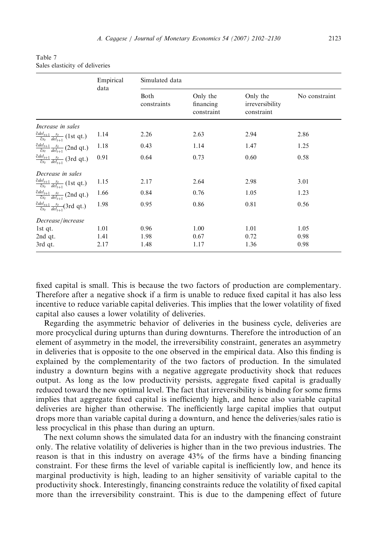|                                                                                  | Empirical<br>data | Simulated data      |                                     |                                           |               |  |
|----------------------------------------------------------------------------------|-------------------|---------------------|-------------------------------------|-------------------------------------------|---------------|--|
|                                                                                  |                   | Both<br>constraints | Only the<br>financing<br>constraint | Only the<br>irreversibility<br>constraint | No constraint |  |
| Increase in sales                                                                |                   |                     |                                     |                                           |               |  |
| $\frac{\partial d e l_{t+1}}{\partial s_t} \frac{s_t}{d e l_{t+1}}$ (1st qt.)    | 1.14              | 2.26                | 2.63                                | 2.94                                      | 2.86          |  |
| $\frac{\partial d e l_{t+1}}{\partial s_t} \frac{s_t}{d e l_{t+1}}$ (2nd qt.)    | 1.18              | 0.43                | 1.14                                | 1.47                                      | 1.25          |  |
| $\frac{\partial del_{t+1}}{\partial s_t} \frac{s_t}{del_{t+1}}$ (3rd qt.)        | 0.91              | 0.64                | 0.73                                | 0.60                                      | 0.58          |  |
| Decrease in sales                                                                |                   |                     |                                     |                                           |               |  |
| $\frac{\partial d e l_{t+1}}{\partial s_t} \frac{s_t}{d e l_{t+1}}$ (1st qt.)    | 1.15              | 2.17                | 2.64                                | 2.98                                      | 3.01          |  |
| $\frac{\partial del_{t+1}}{\partial s_t} \frac{s_t}{del_{t+1}}$ (2nd qt.)        | 1.66              | 0.84                | 0.76                                | 1.05                                      | 1.23          |  |
| $\frac{\partial del_{t+1}}{\partial s_t} \frac{s_t}{del_{t+1}}(3rd \text{ qt.})$ | 1.98              | 0.95                | 0.86                                | 0.81                                      | 0.56          |  |
| Decrease/increase                                                                |                   |                     |                                     |                                           |               |  |
| 1st qt.                                                                          | 1.01              | 0.96                | 1.00                                | 1.01                                      | 1.05          |  |
| 2nd qt.                                                                          | 1.41              | 1.98                | 0.67                                | 0.72                                      | 0.98          |  |
| 3rd qt.                                                                          | 2.17              | 1.48                | 1.17                                | 1.36                                      | 0.98          |  |

<span id="page-21-0"></span>Table 7 Sales elasticity of deliveries

fixed capital is small. This is because the two factors of production are complementary. Therefore after a negative shock if a firm is unable to reduce fixed capital it has also less incentive to reduce variable capital deliveries. This implies that the lower volatility of fixed capital also causes a lower volatility of deliveries.

Regarding the asymmetric behavior of deliveries in the business cycle, deliveries are more procyclical during upturns than during downturns. Therefore the introduction of an element of asymmetry in the model, the irreversibility constraint, generates an asymmetry in deliveries that is opposite to the one observed in the empirical data. Also this finding is explained by the complementarity of the two factors of production. In the simulated industry a downturn begins with a negative aggregate productivity shock that reduces output. As long as the low productivity persists, aggregate fixed capital is gradually reduced toward the new optimal level. The fact that irreversibility is binding for some firms implies that aggregate fixed capital is inefficiently high, and hence also variable capital deliveries are higher than otherwise. The inefficiently large capital implies that output drops more than variable capital during a downturn, and hence the deliveries/sales ratio is less procyclical in this phase than during an upturn.

The next column shows the simulated data for an industry with the financing constraint only. The relative volatility of deliveries is higher than in the two previous industries. The reason is that in this industry on average 43% of the firms have a binding financing constraint. For these firms the level of variable capital is inefficiently low, and hence its marginal productivity is high, leading to an higher sensitivity of variable capital to the productivity shock. Interestingly, financing constraints reduce the volatility of fixed capital more than the irreversibility constraint. This is due to the dampening effect of future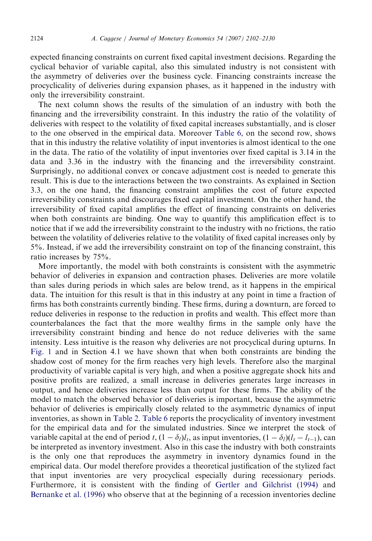expected financing constraints on current fixed capital investment decisions. Regarding the cyclical behavior of variable capital, also this simulated industry is not consistent with the asymmetry of deliveries over the business cycle. Financing constraints increase the procyclicality of deliveries during expansion phases, as it happened in the industry with only the irreversibility constraint.

The next column shows the results of the simulation of an industry with both the financing and the irreversibility constraint. In this industry the ratio of the volatility of deliveries with respect to the volatility of fixed capital increases substantially, and is closer to the one observed in the empirical data. Moreover [Table 6](#page-20-0), on the second row, shows that in this industry the relative volatility of input inventories is almost identical to the one in the data. The ratio of the volatility of input inventories over fixed capital is 3.14 in the data and 3.36 in the industry with the financing and the irreversibility constraint. Surprisingly, no additional convex or concave adjustment cost is needed to generate this result. This is due to the interactions between the two constraints. As explained in Section 3.3, on the one hand, the financing constraint amplifies the cost of future expected irreversibility constraints and discourages fixed capital investment. On the other hand, the irreversibility of fixed capital amplifies the effect of financing constraints on deliveries when both constraints are binding. One way to quantify this amplification effect is to notice that if we add the irreversibility constraint to the industry with no frictions, the ratio between the volatility of deliveries relative to the volatility of fixed capital increases only by 5%. Instead, if we add the irreversibility constraint on top of the financing constraint, this ratio increases by 75%.

More importantly, the model with both constraints is consistent with the asymmetric behavior of deliveries in expansion and contraction phases. Deliveries are more volatile than sales during periods in which sales are below trend, as it happens in the empirical data. The intuition for this result is that in this industry at any point in time a fraction of firms has both constraints currently binding. These firms, during a downturn, are forced to reduce deliveries in response to the reduction in profits and wealth. This effect more than counterbalances the fact that the more wealthy firms in the sample only have the irreversibility constraint binding and hence do not reduce deliveries with the same intensity. Less intuitive is the reason why deliveries are not procyclical during upturns. In [Fig. 1](#page-17-0) and in Section 4.1 we have shown that when both constraints are binding the shadow cost of money for the firm reaches very high levels. Therefore also the marginal productivity of variable capital is very high, and when a positive aggregate shock hits and positive profits are realized, a small increase in deliveries generates large increases in output, and hence deliveries increase less than output for these firms. The ability of the model to match the observed behavior of deliveries is important, because the asymmetric behavior of deliveries is empirically closely related to the asymmetric dynamics of input inventories, as shown in [Table 2](#page-5-0). [Table 6](#page-20-0) reports the procyclicality of inventory investment for the empirical data and for the simulated industries. Since we interpret the stock of variable capital at the end of period t,  $(1 - \delta_l)l_t$ , as input inventories,  $(1 - \delta_l)(l_t - l_{t-1})$ , can be interpreted as inventory investment. Also in this case the industry with both constraints is the only one that reproduces the asymmetry in inventory dynamics found in the empirical data. Our model therefore provides a theoretical justification of the stylized fact that input inventories are very procyclical especially during recessionary periods. Furthermore, it is consistent with the finding of [Gertler and Gilchrist \(1994\)](#page-28-0) and [Bernanke et al. \(1996\)](#page-27-0) who observe that at the beginning of a recession inventories decline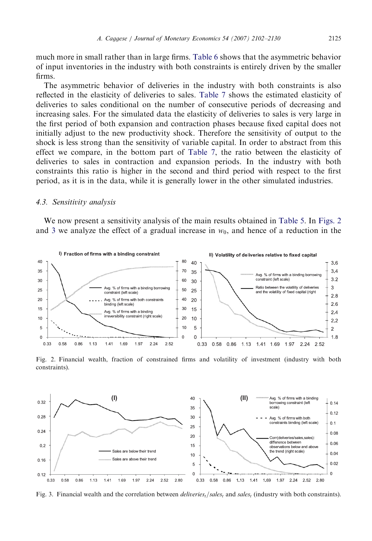<span id="page-23-0"></span>much more in small rather than in large firms. [Table 6](#page-20-0) shows that the asymmetric behavior of input inventories in the industry with both constraints is entirely driven by the smaller firms.

The asymmetric behavior of deliveries in the industry with both constraints is also reflected in the elasticity of deliveries to sales. [Table 7](#page-21-0) shows the estimated elasticity of deliveries to sales conditional on the number of consecutive periods of decreasing and increasing sales. For the simulated data the elasticity of deliveries to sales is very large in the first period of both expansion and contraction phases because fixed capital does not initially adjust to the new productivity shock. Therefore the sensitivity of output to the shock is less strong than the sensitivity of variable capital. In order to abstract from this effect we compare, in the bottom part of [Table 7,](#page-21-0) the ratio between the elasticity of deliveries to sales in contraction and expansion periods. In the industry with both constraints this ratio is higher in the second and third period with respect to the first period, as it is in the data, while it is generally lower in the other simulated industries.

#### 4.3. Sensitivity analysis

We now present a sensitivity analysis of the main results obtained in [Table 5.](#page-19-0) In Figs. 2 and 3 we analyze the effect of a gradual increase in  $w<sub>0</sub>$ , and hence of a reduction in the



Fig. 2. Financial wealth, fraction of constrained firms and volatility of investment (industry with both constraints).



Fig. 3. Financial wealth and the correlation between *deliveries<sub>t</sub>*/sales<sub>t</sub> and salest (industry with both constraints).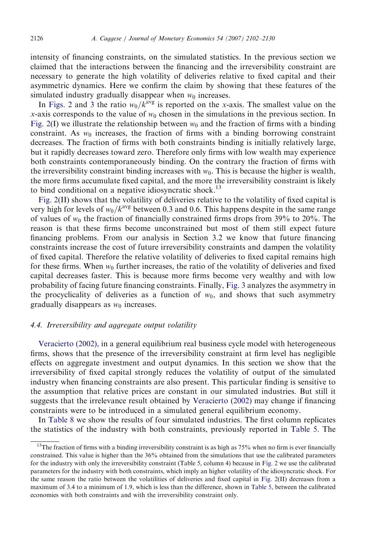intensity of financing constraints, on the simulated statistics. In the previous section we claimed that the interactions between the financing and the irreversibility constraint are necessary to generate the high volatility of deliveries relative to fixed capital and their asymmetric dynamics. Here we confirm the claim by showing that these features of the simulated industry gradually disappear when  $w_0$  increases.

In [Figs. 2](#page-23-0) and [3](#page-23-0) the ratio  $w_0/k^{\text{avg}}$  is reported on the x-axis. The smallest value on the x-axis corresponds to the value of  $w_0$  chosen in the simulations in the previous section. In [Fig. 2](#page-23-0)(I) we illustrate the relationship between  $w_0$  and the fraction of firms with a binding constraint. As  $w_0$  increases, the fraction of firms with a binding borrowing constraint decreases. The fraction of firms with both constraints binding is initially relatively large, but it rapidly decreases toward zero. Therefore only firms with low wealth may experience both constraints contemporaneously binding. On the contrary the fraction of firms with the irreversibility constraint binding increases with  $w_0$ . This is because the higher is wealth, the more firms accumulate fixed capital, and the more the irreversibility constraint is likely to bind conditional on a negative idiosyncratic shock.<sup>13</sup>

[Fig. 2](#page-23-0)(II) shows that the volatility of deliveries relative to the volatility of fixed capital is very high for levels of  $w_0/k^{\text{avg}}$  between 0.3 and 0.6. This happens despite in the same range of values of  $w_0$  the fraction of financially constrained firms drops from 39% to 20%. The reason is that these firms become unconstrained but most of them still expect future financing problems. From our analysis in Section 3.2 we know that future financing constraints increase the cost of future irreversibility constraints and dampen the volatility of fixed capital. Therefore the relative volatility of deliveries to fixed capital remains high for these firms. When  $w_0$  further increases, the ratio of the volatility of deliveries and fixed capital decreases faster. This is because more firms become very wealthy and with low probability of facing future financing constraints. Finally, [Fig. 3](#page-23-0) analyzes the asymmetry in the procyclicality of deliveries as a function of  $w_0$ , and shows that such asymmetry gradually disappears as  $w_0$  increases.

# 4.4. Irreversibility and aggregate output volatility

[Veracierto \(2002\)](#page-28-0), in a general equilibrium real business cycle model with heterogeneous firms, shows that the presence of the irreversibility constraint at firm level has negligible effects on aggregate investment and output dynamics. In this section we show that the irreversibility of fixed capital strongly reduces the volatility of output of the simulated industry when financing constraints are also present. This particular finding is sensitive to the assumption that relative prices are constant in our simulated industries. But still it suggests that the irrelevance result obtained by [Veracierto \(2002\)](#page-28-0) may change if financing constraints were to be introduced in a simulated general equilibrium economy.

In [Table 8](#page-25-0) we show the results of four simulated industries. The first column replicates the statistics of the industry with both constraints, previously reported in [Table 5](#page-19-0). The

 $13$ The fraction of firms with a binding irreversibility constraint is as high as  $75\%$  when no firm is ever financially constrained. This value is higher than the 36% obtained from the simulations that use the calibrated parameters for the industry with only the irreversibility constraint (Table [5,](#page-19-0) column 4) because in [Fig. 2](#page-23-0) we use the calibrated parameters for the industry with both constraints, which imply an higher volatility of the idiosyncratic shock. For the same reason the ratio between the volatilities of deliveries and fixed capital in [Fig. 2](#page-23-0)(II) decreases from a maximum of 3.4 to a minimum of 1.9, which is less than the difference, shown in [Table 5,](#page-19-0) between the calibrated economies with both constraints and with the irreversibility constraint only.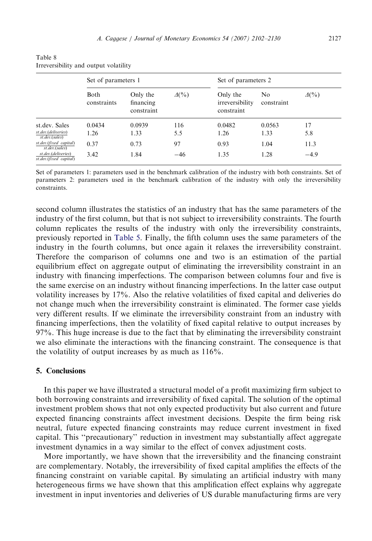|                                               | Set of parameters 1 |                                     |                 | Set of parameters 2                       |                  |                 |
|-----------------------------------------------|---------------------|-------------------------------------|-----------------|-------------------------------------------|------------------|-----------------|
|                                               | Both<br>constraints | Only the<br>financing<br>constraint | $\varDelta(\%)$ | Only the<br>irreversibility<br>constraint | No<br>constraint | $\varDelta(\%)$ |
| st.dev. Sales                                 | 0.0434              | 0.0939                              | 116             | 0.0482                                    | 0.0563           | 17              |
| st.dev.(deliveries)<br>st.dev.(sales)         | 1.26                | 1.33                                | 5.5             | 1.26                                      | 1.33             | 5.8             |
| st.dev.(fixed capital)<br>st.dev.(sales)      | 0.37                | 0.73                                | 97              | 0.93                                      | 1.04             | 11.3            |
| st.dev.(deliveries)<br>st.dev.(fixed capital) | 3.42                | 1.84                                | -46             | 1.35                                      | 1.28             | $-4.9$          |

<span id="page-25-0"></span>Table 8 Irreversibility and output volatility

Set of parameters 1: parameters used in the benchmark calibration of the industry with both constraints. Set of parameters 2: parameters used in the benchmark calibration of the industry with only the irreversibility constraints.

second column illustrates the statistics of an industry that has the same parameters of the industry of the first column, but that is not subject to irreversibility constraints. The fourth column replicates the results of the industry with only the irreversibility constraints, previously reported in [Table 5](#page-19-0). Finally, the fifth column uses the same parameters of the industry in the fourth columns, but once again it relaxes the irreversibility constraint. Therefore the comparison of columns one and two is an estimation of the partial equilibrium effect on aggregate output of eliminating the irreversibility constraint in an industry with financing imperfections. The comparison between columns four and five is the same exercise on an industry without financing imperfections. In the latter case output volatility increases by 17%. Also the relative volatilities of fixed capital and deliveries do not change much when the irreversibility constraint is eliminated. The former case yields very different results. If we eliminate the irreversibility constraint from an industry with financing imperfections, then the volatility of fixed capital relative to output increases by 97%. This huge increase is due to the fact that by eliminating the irreversibility constraint we also eliminate the interactions with the financing constraint. The consequence is that the volatility of output increases by as much as 116%.

# 5. Conclusions

In this paper we have illustrated a structural model of a profit maximizing firm subject to both borrowing constraints and irreversibility of fixed capital. The solution of the optimal investment problem shows that not only expected productivity but also current and future expected financing constraints affect investment decisions. Despite the firm being risk neutral, future expected financing constraints may reduce current investment in fixed capital. This ''precautionary'' reduction in investment may substantially affect aggregate investment dynamics in a way similar to the effect of convex adjustment costs.

More importantly, we have shown that the irreversibility and the financing constraint are complementary. Notably, the irreversibility of fixed capital amplifies the effects of the financing constraint on variable capital. By simulating an artificial industry with many heterogeneous firms we have shown that this amplification effect explains why aggregate investment in input inventories and deliveries of US durable manufacturing firms are very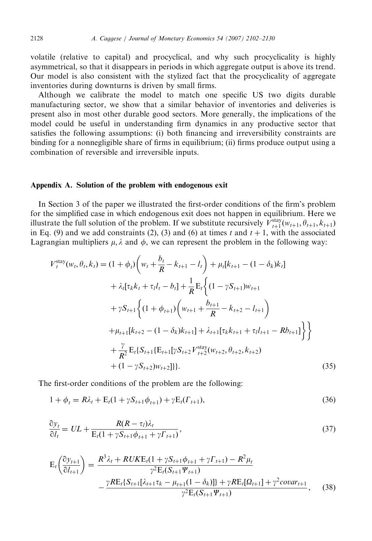volatile (relative to capital) and procyclical, and why such procyclicality is highly asymmetrical, so that it disappears in periods in which aggregate output is above its trend. Our model is also consistent with the stylized fact that the procyclicality of aggregate inventories during downturns is driven by small firms.

Although we calibrate the model to match one specific US two digits durable manufacturing sector, we show that a similar behavior of inventories and deliveries is present also in most other durable good sectors. More generally, the implications of the model could be useful in understanding firm dynamics in any productive sector that satisfies the following assumptions: (i) both financing and irreversibility constraints are binding for a nonnegligible share of firms in equilibrium; (ii) firms produce output using a combination of reversible and irreversible inputs.

# Appendix A. Solution of the problem with endogenous exit

In Section 3 of the paper we illustrated the first-order conditions of the firm's problem for the simplified case in which endogenous exit does not happen in equilibrium. Here we illustrate the full solution of the problem. If we substitute recursively  $V_{t+1}^{\text{stay}}(w_{t+1}, \theta_{t+1}, k_{t+1})$ in Eq. (9) and we add constraints (2), (3) and (6) at times t and  $t + 1$ , with the associated Lagrangian multipliers  $\mu$ ,  $\lambda$  and  $\phi$ , we can represent the problem in the following way:

$$
V_t^{\text{stay}}(w_t, \theta_t, k_t) = (1 + \phi_t) \left( w_t + \frac{b_t}{R} - k_{t+1} - l_t \right) + \mu_t [k_{t+1} - (1 - \delta_k)k_t]
$$
  
+  $\lambda_t [\tau_k k_t + \tau_l l_t - b_t] + \frac{1}{R} \mathbf{E}_t \left\{ (1 - \gamma S_{t+1}) w_{t+1} + \gamma S_{t+1} \left\{ (1 + \phi_{t+1}) \left( w_{t+1} + \frac{b_{t+1}}{R} - k_{t+2} - l_{t+1} \right) + \mu_{t+1} [k_{t+2} - (1 - \delta_k)k_{t+1}] + \lambda_{t+1} [\tau_k k_{t+1} + \tau_l l_{t+1} - R b_{t+1}] \right\} \right\}$   
+  $\frac{\gamma}{R^2} \mathbf{E}_t \{ S_{t+1} \{ \mathbf{E}_{t+1} [\gamma S_{t+2} V_{t+2}^{\text{stay}}(w_{t+2}, \theta_{t+2}, k_{t+2}) + (1 - \gamma S_{t+2}) w_{t+2} ] \}.$  (35)

The first-order conditions of the problem are the following:

$$
1 + \phi_t = R\lambda_t + E_t(1 + \gamma S_{t+1}\phi_{t+1}) + \gamma E_t(\Gamma_{t+1}),
$$
\n(36)

$$
\frac{\partial y_t}{\partial l_t} = UL + \frac{R(R - \tau_l)\lambda_t}{E_t(1 + \gamma S_{t+1}\phi_{t+1} + \gamma \Gamma_{t+1})},\tag{37}
$$

$$
E_{t}\left(\frac{\partial y_{t+1}}{\partial l_{t+1}}\right) = \frac{R^{3}\lambda_{t} + RUKE_{t}(1 + \gamma S_{t+1}\phi_{t+1} + \gamma \Gamma_{t+1}) - R^{2}\mu_{t}}{\gamma^{2}E_{t}(S_{t+1}\Psi_{t+1})}
$$

$$
-\frac{\gamma RE_{t}\{S_{t+1}[\lambda_{t+1}\tau_{k} - \mu_{t+1}(1 - \delta_{k})]\} + \gamma RE_{t}\{\Omega_{t+1}\} + \gamma^{2}covar_{t+1}}{\gamma^{2}E_{t}(S_{t+1}\Psi_{t+1})}, \quad (38)
$$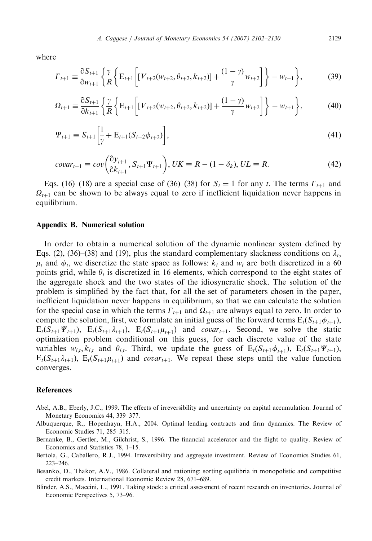<span id="page-27-0"></span>where

$$
\Gamma_{t+1} \equiv \frac{\partial S_{t+1}}{\partial w_{t+1}} \left\{ \frac{\gamma}{R} \left\{ \mathbf{E}_{t+1} \left[ [V_{t+2}(w_{t+2}, \theta_{t+2}, k_{t+2})] + \frac{(1-\gamma)}{\gamma} w_{t+2} \right] \right\} - w_{t+1} \right\},\tag{39}
$$

$$
\Omega_{t+1} \equiv \frac{\partial S_{t+1}}{\partial k_{t+1}} \left\{ \frac{\gamma}{R} \left\{ \mathbf{E}_{t+1} \left[ [V_{t+2}(w_{t+2}, \theta_{t+2}, k_{t+2})] + \frac{(1-\gamma)}{\gamma} w_{t+2} \right] \right\} - w_{t+1} \right\},\tag{40}
$$

$$
\Psi_{t+1} \equiv S_{t+1} \left[ \frac{1}{\gamma} + \mathcal{E}_{t+1} (S_{t+2} \phi_{t+2}) \right], \tag{41}
$$

$$
covar_{t+1} \equiv cov\bigg(\frac{\partial y_{t+1}}{\partial k_{t+1}}, S_{t+1}\Psi_{t+1}\bigg), UK \equiv R - (1 - \delta_k), UL \equiv R. \tag{42}
$$

Eqs. (16)–(18) are a special case of (36)–(38) for  $S_t = 1$  for any t. The terms  $\Gamma_{t+1}$  and  $\Omega_{t+1}$  can be shown to be always equal to zero if inefficient liquidation never happens in equilibrium.

#### Appendix B. Numerical solution

In order to obtain a numerical solution of the dynamic nonlinear system defined by Eqs. (2), (36)–(38) and (19), plus the standard complementary slackness conditions on  $\lambda_t$ ,  $\mu_t$  and  $\phi_t$ , we discretize the state space as follows:  $k_t$  and  $w_t$  are both discretized in a 60 points grid, while  $\theta_t$  is discretized in 16 elements, which correspond to the eight states of the aggregate shock and the two states of the idiosyncratic shock. The solution of the problem is simplified by the fact that, for all the set of parameters chosen in the paper, inefficient liquidation never happens in equilibrium, so that we can calculate the solution for the special case in which the terms  $\Gamma_{t+1}$  and  $\Omega_{t+1}$  are always equal to zero. In order to compute the solution, first, we formulate an initial guess of the forward terms  $E_t(S_{t+1}\phi_{t+1}),$  $E_t(S_{t+1}\Psi_{t+1}), E_t(S_{t+1}\lambda_{t+1}), E_t(S_{t+1}\mu_{t+1})$  and covar<sub>th-1</sub>. Second, we solve the static optimization problem conditional on this guess, for each discrete value of the state variables  $w_{i,t}$ ,  $k_{i,t}$  and  $\theta_{i,t}$ . Third, we update the guess of  $E_t(S_{t+1}\phi_{t+1}), E_t(S_{t+1}\psi_{t+1}),$  $E_t(S_{t+1}\lambda_{t+1}), E_t(S_{t+1}\mu_{t+1})$  and covar<sub>t+1</sub>. We repeat these steps until the value function converges.

## References

- Abel, A.B., Eberly, J.C., 1999. The effects of irreversibility and uncertainty on capital accumulation. Journal of Monetary Economics 44, 339–377.
- Albuquerque, R., Hopenhayn, H.A., 2004. Optimal lending contracts and firm dynamics. The Review of Economic Studies 71, 285–315.
- Bernanke, B., Gertler, M., Gilchrist, S., 1996. The financial accelerator and the flight to quality. Review of Economics and Statistics 78, 1–15.
- Bertola, G., Caballero, R.J., 1994. Irreversibility and aggregate investment. Review of Economics Studies 61, 223–246.
- Besanko, D., Thakor, A.V., 1986. Collateral and rationing: sorting equilibria in monopolistic and competitive credit markets. International Economic Review 28, 671–689.
- Blinder, A.S., Maccini, L., 1991. Taking stock: a critical assessment of recent research on inventories. Journal of Economic Perspectives 5, 73–96.